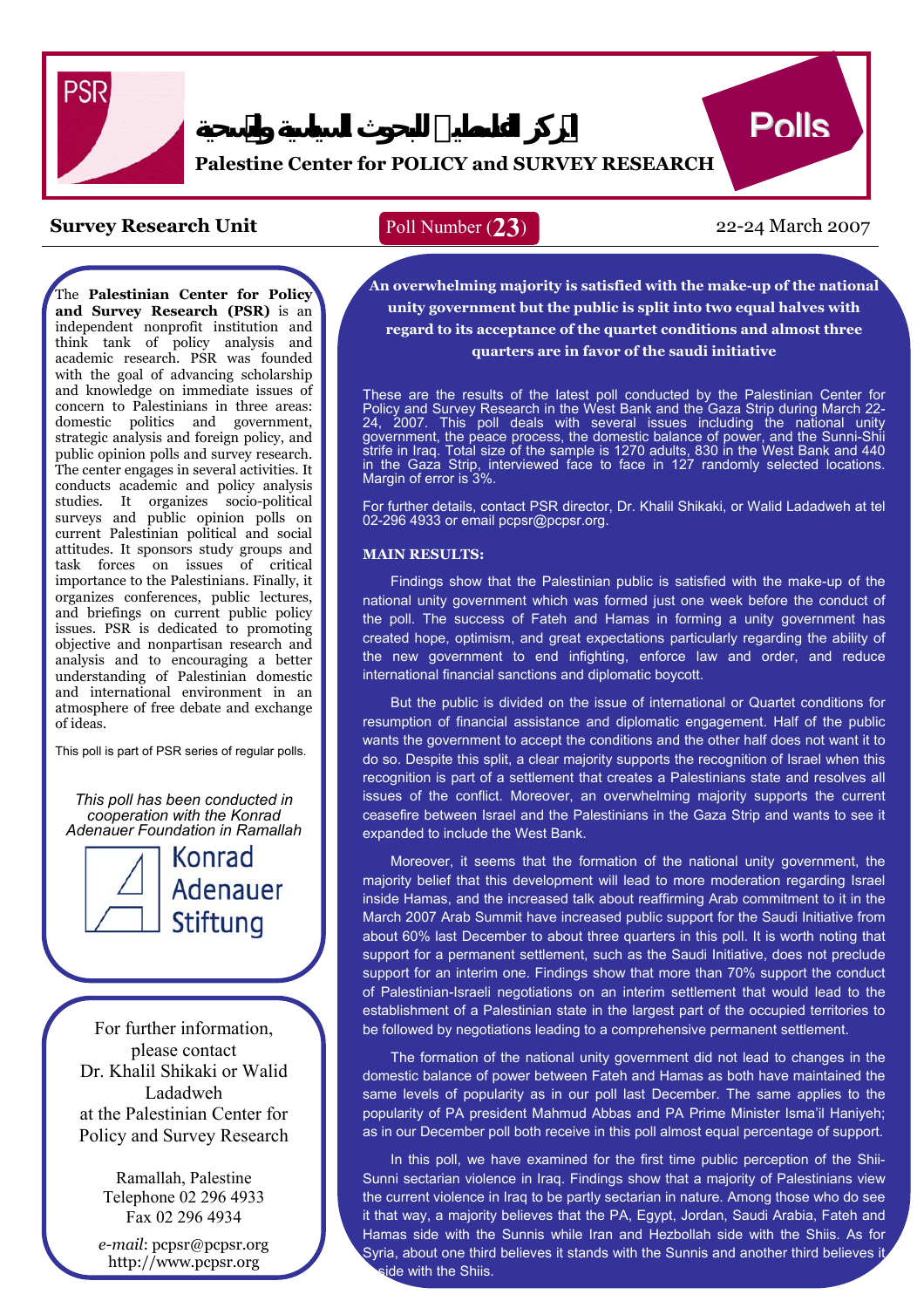

# **Palestine Center for POLICY and SURVEY RESEARCH**

# **Survey Research Unit Poll Number (23)** 22-24 March 2007

The **Palestinian Center for Policy and Survey Research (PSR)** is an independent nonprofit institution and think tank of policy analysis and academic research. PSR was founded with the goal of advancing scholarship and knowledge on immediate issues of concern to Palestinians in three areas: domestic politics and government, strategic analysis and foreign policy, and public opinion polls and survey research. The center engages in several activities. It conducts academic and policy analysis studies. It organizes socio-political surveys and public opinion polls on current Palestinian political and social attitudes. It sponsors study groups and task forces on issues of critical importance to the Palestinians. Finally, it organizes conferences, public lectures, and briefings on current public policy issues. PSR is dedicated to promoting objective and nonpartisan research and analysis and to encouraging a better understanding of Palestinian domestic and international environment in an atmosphere of free debate and exchange of ideas.

This poll is part of PSR series of regular polls.

*This poll has been conducted in cooperation with the Konrad Adenauer Foundation in Ramallah*



Konrad **Adenauer** Stiftung

For further information, please contact Dr. Khalil Shikaki or Walid Ladadweh at the Palestinian Center for Policy and Survey Research

> Ramallah, Palestine Telephone 02 296 4933 Fax 02 296 4934

*e-mail*: pcpsr@pcpsr.org http://www.pcpsr.org

# Poll Number (**23**)

**Polls** 

 **An overwhelming majority is satisfied with the make-up of the national unity government but the public is split into two equal halves with regard to its acceptance of the quartet conditions and almost three quarters are in favor of the saudi initiative** 

f  $\frac{2}{\pi}$  $\frac{1}{2}$  $\frac{1}{n}$ in the Gaza Strip, interviewed face to face in 127 randomly selected locations.<br>Margin of error is 3%. These are the results of the latest poll conducted by the Palestinian Center for Policy and Survey Research in the West Bank and the Gaza Strip during March 22- 24, 2007. This poll deals with several issues including the national unity government, the peace process, the domestic balance of power, and the Sunni-Shii strife in Iraq. Total size of the sample is 1270 adults, 830 in the West Bank and 440 Margin of error is 3%.

 For further details, contact PSR director, Dr. Khalil Shikaki, or Walid Ladadweh at tel 02-296 4933 or email pcpsr@pcpsr.org.

### **MAIN RESULTS:**

 Findings show that the Palestinian public is satisfied with the make-up of the national unity government which was formed just one week before the conduct of me poli. The success of Faten and Hamas in forming a unity government has<br>created hope, optimism, and great expectations particularly regarding the ability of .<br>M the new government to end infighting, enforce law and order, and reduce.<br>international-financial-sanctions-and-diplomatic-bovcott. the poll. The success of Fateh and Hamas in forming a unity government has international financial sanctions and diplomatic boycott.

But the public is divided on the issue of international or Quartet conditions for resumption of financial assistance and diplomatic engagement. Half of the public wants the government to accept the conditions and the other half does not want it to do so. Despite this split, a clear majority supports the recognition of Israel when this recognition is part of a settlement that creates a Palestinians state and resolves all issues of the conflict. Moreover, an overwhelming majority supports the current ceasefire between Israel and the Palestinians in the Gaza Strip and wants to see it expanded to include the West Bank.

Moreover, it seems that the formation of the national unity government, the majority belief that this development will lead to more moderation regarding Israel inside Hamas, and the increased talk about reaffirming Arab commitment to it in the March 2007 Arab Summit have increased public support for the Saudi Initiative from about 60% last December to about three quarters in this poll. It is worth noting that support for a permanent settlement, such as the Saudi Initiative, does not preclude support for an interim one. Findings show that more than 70% support the conduct of Palestinian-Israeli negotiations on an interim settlement that would lead to the establishment of a Palestinian state in the largest part of the occupied territories to be followed by negotiations leading to a comprehensive permanent settlement.

The formation of the national unity government did not lead to changes in the domestic balance of power between Fateh and Hamas as both have maintained the same levels of popularity as in our poll last December. The same applies to the popularity of PA president Mahmud Abbas and PA Prime Minister Isma'il Haniyeh; as in our December poll both receive in this poll almost equal percentage of support.

In this poll, we have examined for the first time public perception of the Shii-Sunni sectarian violence in Iraq. Findings show that a majority of Palestinians view the current violence in Iraq to be partly sectarian in nature. Among those who do see it that way, a majority believes that the PA, Egypt, Jordan, Saudi Arabia, Fateh and Hamas side with the Sunnis while Iran and Hezbollah side with the Shiis. As for Syria, about one third believes it stands with the Sunnis and another third believes it ide with the Shiis.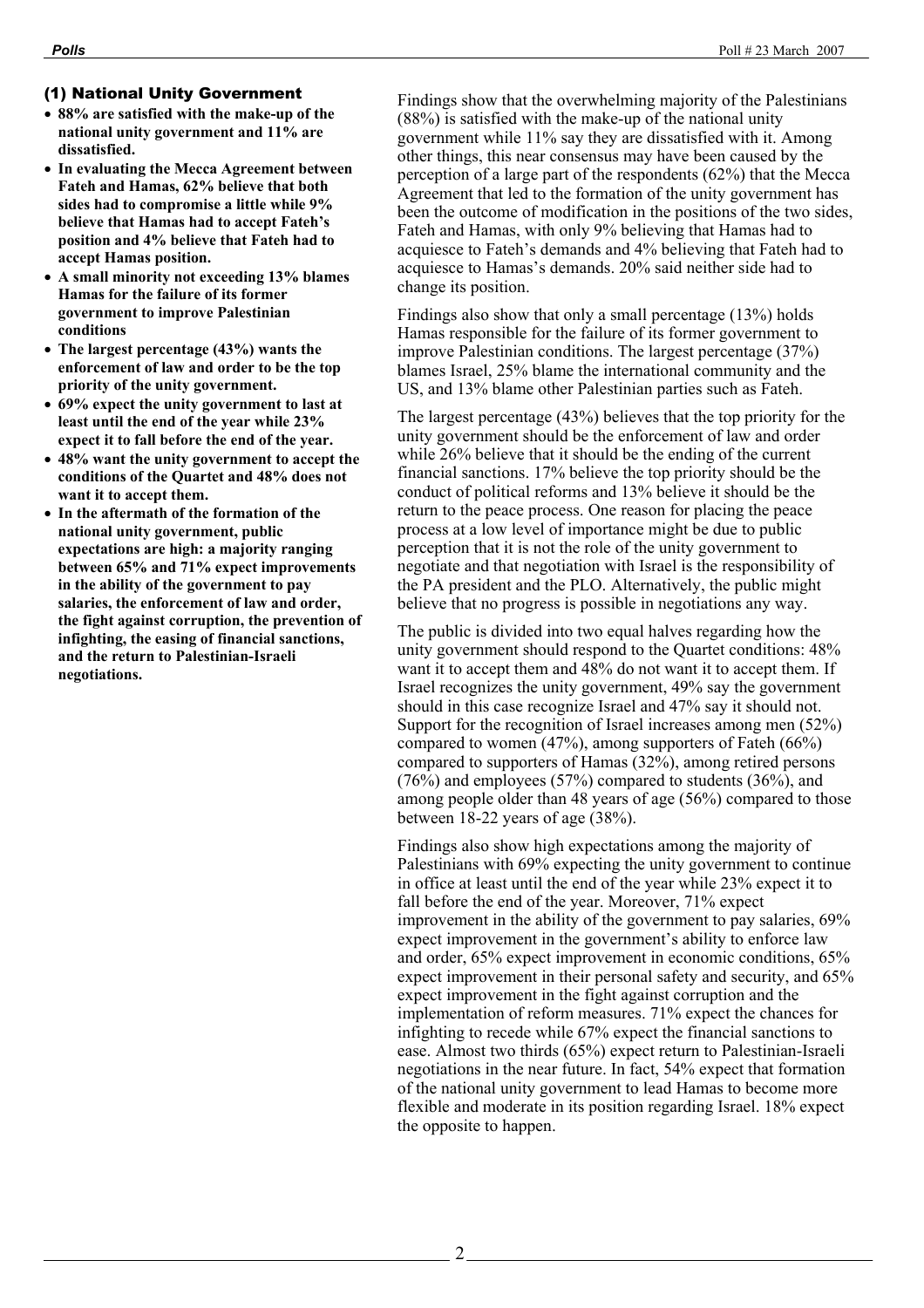# (1) National Unity Government

- **88% are satisfied with the make-up of the national unity government and 11% are dissatisfied.**
- **In evaluating the Mecca Agreement between Fateh and Hamas, 62% believe that both sides had to compromise a little while 9% believe that Hamas had to accept Fateh's position and 4% believe that Fateh had to accept Hamas position.**
- **A small minority not exceeding 13% blames Hamas for the failure of its former government to improve Palestinian conditions**
- **The largest percentage (43%) wants the enforcement of law and order to be the top priority of the unity government.**
- **69% expect the unity government to last at least until the end of the year while 23% expect it to fall before the end of the year.**
- **48% want the unity government to accept the conditions of the Quartet and 48% does not want it to accept them.**
- **In the aftermath of the formation of the national unity government, public expectations are high: a majority ranging between 65% and 71% expect improvements in the ability of the government to pay salaries, the enforcement of law and order, the fight against corruption, the prevention of infighting, the easing of financial sanctions, and the return to Palestinian-Israeli negotiations.**

Findings show that the overwhelming majority of the Palestinians (88%) is satisfied with the make-up of the national unity government while 11% say they are dissatisfied with it. Among other things, this near consensus may have been caused by the perception of a large part of the respondents (62%) that the Mecca Agreement that led to the formation of the unity government has been the outcome of modification in the positions of the two sides, Fateh and Hamas, with only 9% believing that Hamas had to acquiesce to Fateh's demands and 4% believing that Fateh had to acquiesce to Hamas's demands. 20% said neither side had to change its position.

Findings also show that only a small percentage (13%) holds Hamas responsible for the failure of its former government to improve Palestinian conditions. The largest percentage (37%) blames Israel, 25% blame the international community and the US, and 13% blame other Palestinian parties such as Fateh.

The largest percentage (43%) believes that the top priority for the unity government should be the enforcement of law and order while 26% believe that it should be the ending of the current financial sanctions. 17% believe the top priority should be the conduct of political reforms and 13% believe it should be the return to the peace process. One reason for placing the peace process at a low level of importance might be due to public perception that it is not the role of the unity government to negotiate and that negotiation with Israel is the responsibility of the PA president and the PLO. Alternatively, the public might believe that no progress is possible in negotiations any way.

The public is divided into two equal halves regarding how the unity government should respond to the Quartet conditions: 48% want it to accept them and 48% do not want it to accept them. If Israel recognizes the unity government, 49% say the government should in this case recognize Israel and 47% say it should not. Support for the recognition of Israel increases among men (52%) compared to women (47%), among supporters of Fateh (66%) compared to supporters of Hamas (32%), among retired persons (76%) and employees (57%) compared to students (36%), and among people older than 48 years of age (56%) compared to those between 18-22 years of age (38%).

Findings also show high expectations among the majority of Palestinians with 69% expecting the unity government to continue in office at least until the end of the year while 23% expect it to fall before the end of the year. Moreover, 71% expect improvement in the ability of the government to pay salaries, 69% expect improvement in the government's ability to enforce law and order, 65% expect improvement in economic conditions, 65% expect improvement in their personal safety and security, and 65% expect improvement in the fight against corruption and the implementation of reform measures. 71% expect the chances for infighting to recede while 67% expect the financial sanctions to ease. Almost two thirds (65%) expect return to Palestinian-Israeli negotiations in the near future. In fact, 54% expect that formation of the national unity government to lead Hamas to become more flexible and moderate in its position regarding Israel. 18% expect the opposite to happen.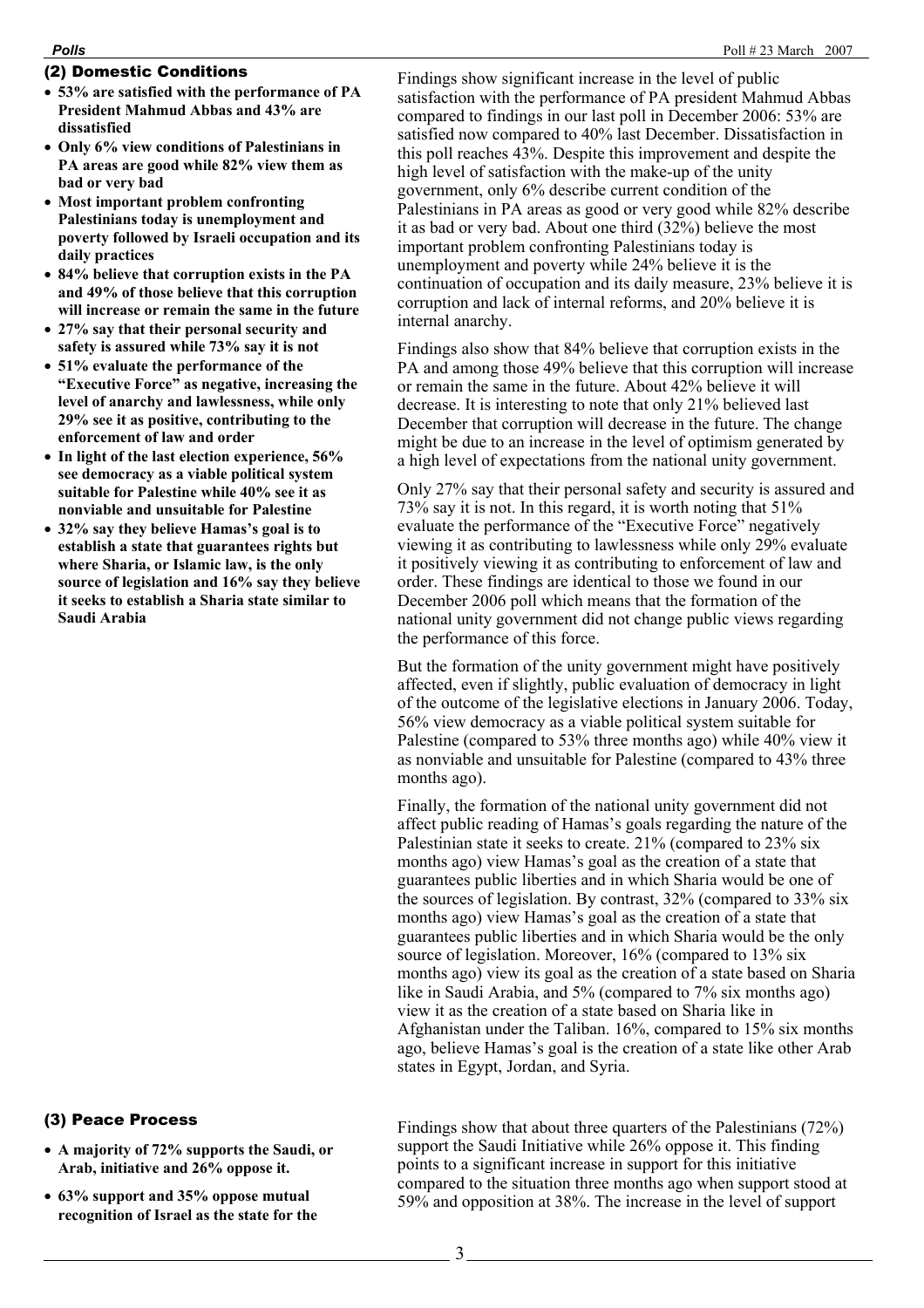## (2) Domestic Conditions

- **53% are satisfied with the performance of PA President Mahmud Abbas and 43% are dissatisfied**
- **Only 6% view conditions of Palestinians in PA areas are good while 82% view them as bad or very bad**
- **Most important problem confronting Palestinians today is unemployment and poverty followed by Israeli occupation and its daily practices**
- **84% believe that corruption exists in the PA and 49% of those believe that this corruption will increase or remain the same in the future**
- **27% say that their personal security and safety is assured while 73% say it is not**
- **51% evaluate the performance of the "Executive Force" as negative, increasing the level of anarchy and lawlessness, while only 29% see it as positive, contributing to the enforcement of law and order**
- **In light of the last election experience, 56% see democracy as a viable political system suitable for Palestine while 40% see it as nonviable and unsuitable for Palestine**
- **32% say they believe Hamas's goal is to establish a state that guarantees rights but where Sharia, or Islamic law, is the only source of legislation and 16% say they believe it seeks to establish a Sharia state similar to Saudi Arabia**

## (3) Peace Process

- **A majority of 72% supports the Saudi, or Arab, initiative and 26% oppose it.**
- **63% support and 35% oppose mutual recognition of Israel as the state for the**

Findings show significant increase in the level of public satisfaction with the performance of PA president Mahmud Abbas compared to findings in our last poll in December 2006: 53% are satisfied now compared to 40% last December. Dissatisfaction in this poll reaches 43%. Despite this improvement and despite the high level of satisfaction with the make-up of the unity government, only 6% describe current condition of the Palestinians in PA areas as good or very good while 82% describe it as bad or very bad. About one third (32%) believe the most important problem confronting Palestinians today is unemployment and poverty while 24% believe it is the continuation of occupation and its daily measure, 23% believe it is corruption and lack of internal reforms, and 20% believe it is internal anarchy.

Findings also show that 84% believe that corruption exists in the PA and among those 49% believe that this corruption will increase or remain the same in the future. About 42% believe it will decrease. It is interesting to note that only 21% believed last December that corruption will decrease in the future. The change might be due to an increase in the level of optimism generated by a high level of expectations from the national unity government.

Only 27% say that their personal safety and security is assured and 73% say it is not. In this regard, it is worth noting that 51% evaluate the performance of the "Executive Force" negatively viewing it as contributing to lawlessness while only 29% evaluate it positively viewing it as contributing to enforcement of law and order. These findings are identical to those we found in our December 2006 poll which means that the formation of the national unity government did not change public views regarding the performance of this force.

But the formation of the unity government might have positively affected, even if slightly, public evaluation of democracy in light of the outcome of the legislative elections in January 2006. Today, 56% view democracy as a viable political system suitable for Palestine (compared to 53% three months ago) while 40% view it as nonviable and unsuitable for Palestine (compared to 43% three months ago).

Finally, the formation of the national unity government did not affect public reading of Hamas's goals regarding the nature of the Palestinian state it seeks to create. 21% (compared to 23% six months ago) view Hamas's goal as the creation of a state that guarantees public liberties and in which Sharia would be one of the sources of legislation. By contrast, 32% (compared to 33% six months ago) view Hamas's goal as the creation of a state that guarantees public liberties and in which Sharia would be the only source of legislation. Moreover, 16% (compared to 13% six months ago) view its goal as the creation of a state based on Sharia like in Saudi Arabia, and 5% (compared to 7% six months ago) view it as the creation of a state based on Sharia like in Afghanistan under the Taliban. 16%, compared to 15% six months ago, believe Hamas's goal is the creation of a state like other Arab states in Egypt, Jordan, and Syria.

Findings show that about three quarters of the Palestinians (72%) support the Saudi Initiative while 26% oppose it. This finding points to a significant increase in support for this initiative compared to the situation three months ago when support stood at 59% and opposition at 38%. The increase in the level of support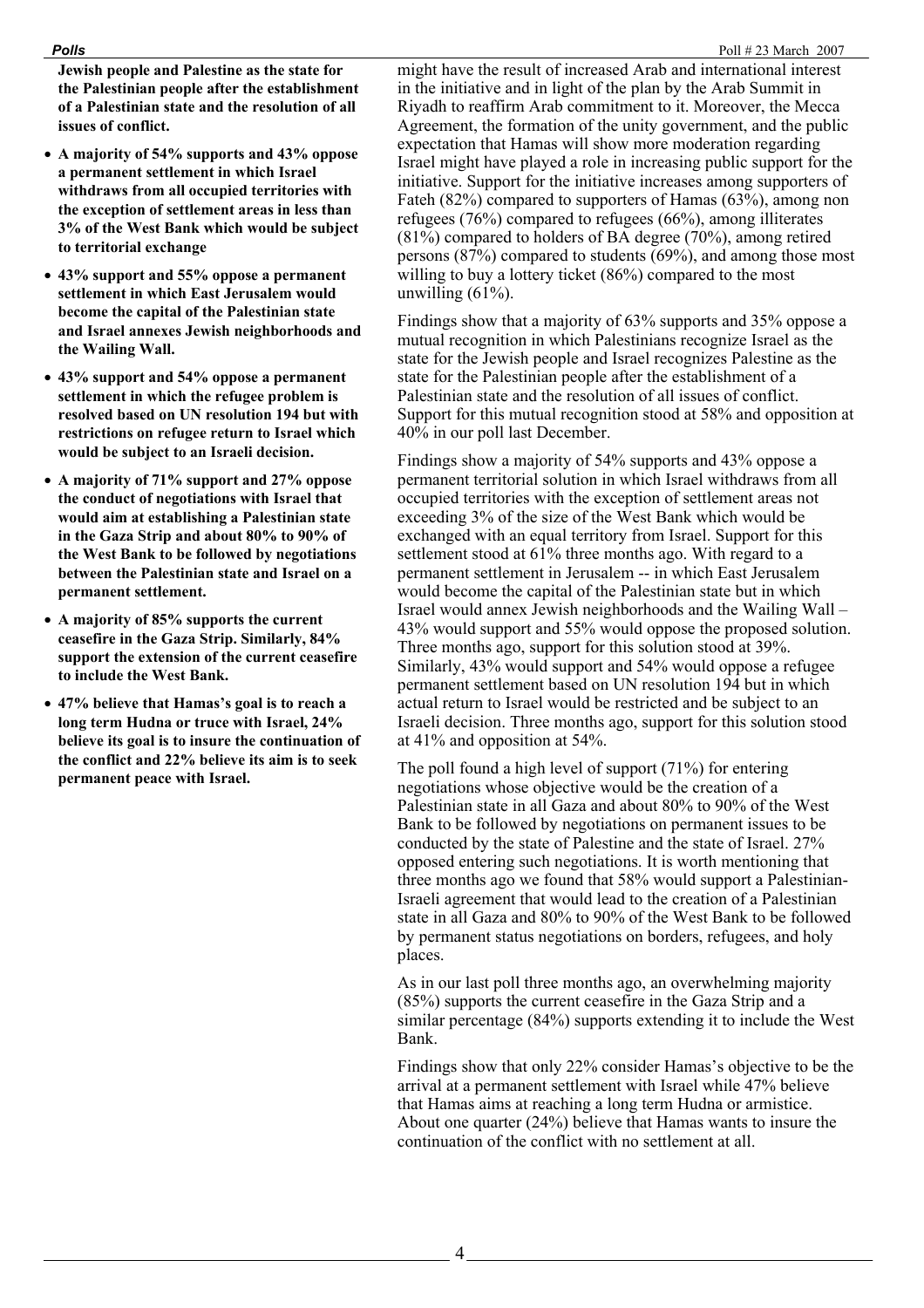### *Polls*Poll # 23 March 2007

**Jewish people and Palestine as the state for the Palestinian people after the establishment of a Palestinian state and the resolution of all issues of conflict.** 

- **A majority of 54% supports and 43% oppose a permanent settlement in which Israel withdraws from all occupied territories with the exception of settlement areas in less than 3% of the West Bank which would be subject to territorial exchange**
- **43% support and 55% oppose a permanent settlement in which East Jerusalem would become the capital of the Palestinian state and Israel annexes Jewish neighborhoods and the Wailing Wall.**
- **43% support and 54% oppose a permanent settlement in which the refugee problem is resolved based on UN resolution 194 but with restrictions on refugee return to Israel which would be subject to an Israeli decision.**
- **A majority of 71% support and 27% oppose the conduct of negotiations with Israel that would aim at establishing a Palestinian state in the Gaza Strip and about 80% to 90% of the West Bank to be followed by negotiations between the Palestinian state and Israel on a permanent settlement.**
- **A majority of 85% supports the current ceasefire in the Gaza Strip. Similarly, 84% support the extension of the current ceasefire to include the West Bank.**
- **47% believe that Hamas's goal is to reach a long term Hudna or truce with Israel, 24% believe its goal is to insure the continuation of the conflict and 22% believe its aim is to seek permanent peace with Israel.**

might have the result of increased Arab and international interest in the initiative and in light of the plan by the Arab Summit in Riyadh to reaffirm Arab commitment to it. Moreover, the Mecca Agreement, the formation of the unity government, and the public expectation that Hamas will show more moderation regarding Israel might have played a role in increasing public support for the initiative. Support for the initiative increases among supporters of Fateh (82%) compared to supporters of Hamas (63%), among non refugees (76%) compared to refugees (66%), among illiterates (81%) compared to holders of BA degree (70%), among retired persons (87%) compared to students (69%), and among those most willing to buy a lottery ticket (86%) compared to the most unwilling (61%).

Findings show that a majority of 63% supports and 35% oppose a mutual recognition in which Palestinians recognize Israel as the state for the Jewish people and Israel recognizes Palestine as the state for the Palestinian people after the establishment of a Palestinian state and the resolution of all issues of conflict. Support for this mutual recognition stood at 58% and opposition at 40% in our poll last December.

Findings show a majority of 54% supports and 43% oppose a permanent territorial solution in which Israel withdraws from all occupied territories with the exception of settlement areas not exceeding 3% of the size of the West Bank which would be exchanged with an equal territory from Israel. Support for this settlement stood at 61% three months ago. With regard to a permanent settlement in Jerusalem -- in which East Jerusalem would become the capital of the Palestinian state but in which Israel would annex Jewish neighborhoods and the Wailing Wall – 43% would support and 55% would oppose the proposed solution. Three months ago, support for this solution stood at 39%. Similarly, 43% would support and 54% would oppose a refugee permanent settlement based on UN resolution 194 but in which actual return to Israel would be restricted and be subject to an Israeli decision. Three months ago, support for this solution stood at 41% and opposition at 54%.

The poll found a high level of support (71%) for entering negotiations whose objective would be the creation of a Palestinian state in all Gaza and about 80% to 90% of the West Bank to be followed by negotiations on permanent issues to be conducted by the state of Palestine and the state of Israel. 27% opposed entering such negotiations. It is worth mentioning that three months ago we found that 58% would support a Palestinian-Israeli agreement that would lead to the creation of a Palestinian state in all Gaza and 80% to 90% of the West Bank to be followed by permanent status negotiations on borders, refugees, and holy places.

As in our last poll three months ago, an overwhelming majority (85%) supports the current ceasefire in the Gaza Strip and a similar percentage (84%) supports extending it to include the West Bank.

Findings show that only 22% consider Hamas's objective to be the arrival at a permanent settlement with Israel while 47% believe that Hamas aims at reaching a long term Hudna or armistice. About one quarter (24%) believe that Hamas wants to insure the continuation of the conflict with no settlement at all.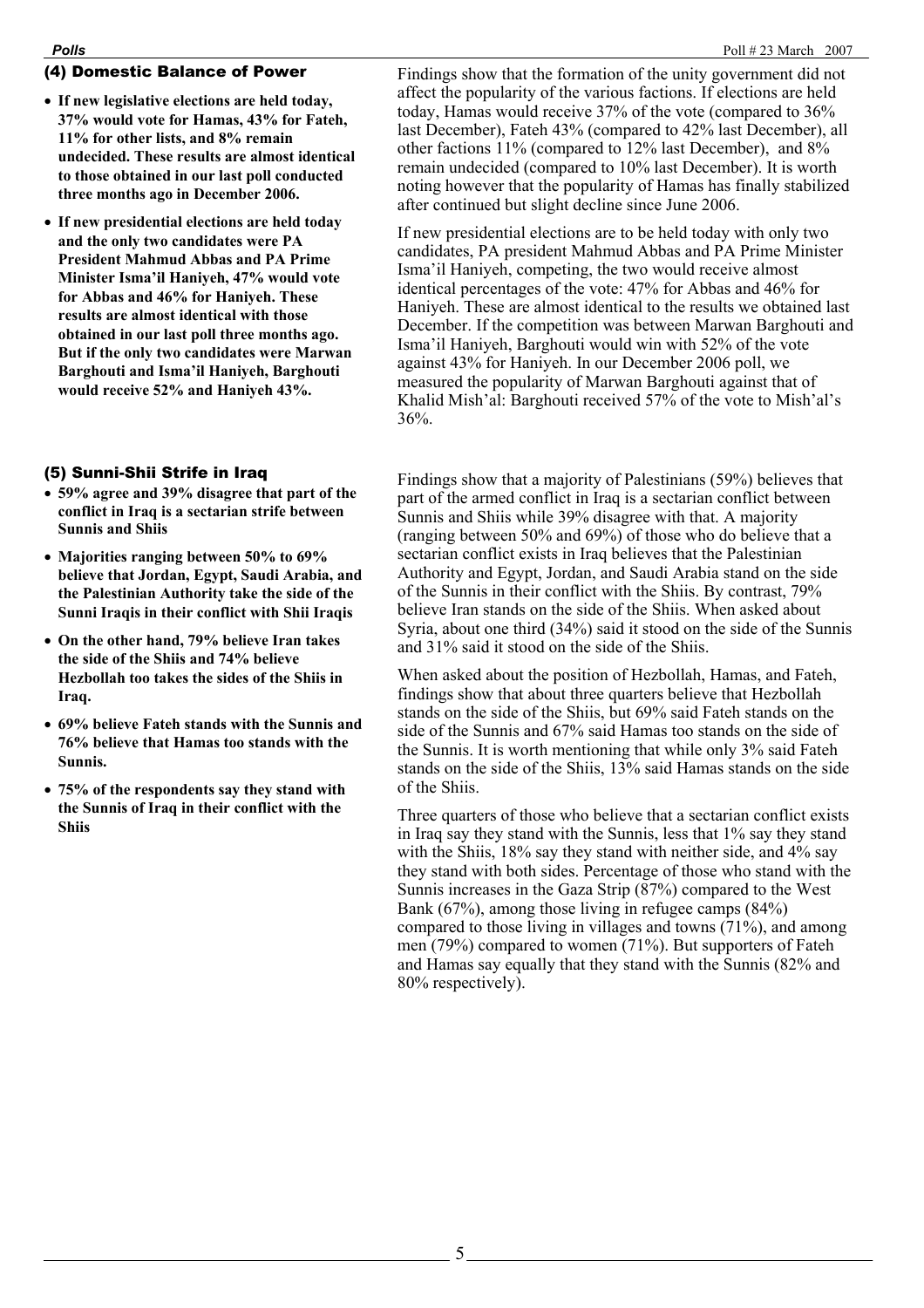## (4) Domestic Balance of Power

- **If new legislative elections are held today, 37% would vote for Hamas, 43% for Fateh, 11% for other lists, and 8% remain undecided. These results are almost identical to those obtained in our last poll conducted three months ago in December 2006.**
- **If new presidential elections are held today and the only two candidates were PA President Mahmud Abbas and PA Prime Minister Isma'il Haniyeh, 47% would vote for Abbas and 46% for Haniyeh. These results are almost identical with those obtained in our last poll three months ago. But if the only two candidates were Marwan Barghouti and Isma'il Haniyeh, Barghouti would receive 52% and Haniyeh 43%.**

## (5) Sunni-Shii Strife in Iraq

- **59% agree and 39% disagree that part of the conflict in Iraq is a sectarian strife between Sunnis and Shiis**
- **Majorities ranging between 50% to 69% believe that Jordan, Egypt, Saudi Arabia, and the Palestinian Authority take the side of the Sunni Iraqis in their conflict with Shii Iraqis**
- **On the other hand, 79% believe Iran takes the side of the Shiis and 74% believe Hezbollah too takes the sides of the Shiis in Iraq.**
- **69% believe Fateh stands with the Sunnis and 76% believe that Hamas too stands with the Sunnis.**
- **75% of the respondents say they stand with the Sunnis of Iraq in their conflict with the Shiis**

Findings show that the formation of the unity government did not affect the popularity of the various factions. If elections are held today, Hamas would receive 37% of the vote (compared to 36% last December), Fateh 43% (compared to 42% last December), all other factions 11% (compared to 12% last December), and 8% remain undecided (compared to 10% last December). It is worth noting however that the popularity of Hamas has finally stabilized after continued but slight decline since June 2006.

If new presidential elections are to be held today with only two candidates, PA president Mahmud Abbas and PA Prime Minister Isma'il Haniyeh, competing, the two would receive almost identical percentages of the vote: 47% for Abbas and 46% for Haniyeh. These are almost identical to the results we obtained last December. If the competition was between Marwan Barghouti and Isma'il Haniyeh, Barghouti would win with 52% of the vote against 43% for Haniyeh. In our December 2006 poll, we measured the popularity of Marwan Barghouti against that of Khalid Mish'al: Barghouti received 57% of the vote to Mish'al's 36%.

Findings show that a majority of Palestinians (59%) believes that part of the armed conflict in Iraq is a sectarian conflict between Sunnis and Shiis while 39% disagree with that. A majority (ranging between 50% and 69%) of those who do believe that a sectarian conflict exists in Iraq believes that the Palestinian Authority and Egypt, Jordan, and Saudi Arabia stand on the side of the Sunnis in their conflict with the Shiis. By contrast, 79% believe Iran stands on the side of the Shiis. When asked about Syria, about one third (34%) said it stood on the side of the Sunnis and 31% said it stood on the side of the Shiis.

When asked about the position of Hezbollah, Hamas, and Fateh, findings show that about three quarters believe that Hezbollah stands on the side of the Shiis, but 69% said Fateh stands on the side of the Sunnis and 67% said Hamas too stands on the side of the Sunnis. It is worth mentioning that while only 3% said Fateh stands on the side of the Shiis, 13% said Hamas stands on the side of the Shiis.

Three quarters of those who believe that a sectarian conflict exists in Iraq say they stand with the Sunnis, less that 1% say they stand with the Shiis, 18% say they stand with neither side, and 4% say they stand with both sides. Percentage of those who stand with the Sunnis increases in the Gaza Strip (87%) compared to the West Bank (67%), among those living in refugee camps (84%) compared to those living in villages and towns (71%), and among men (79%) compared to women (71%). But supporters of Fateh and Hamas say equally that they stand with the Sunnis (82% and 80% respectively).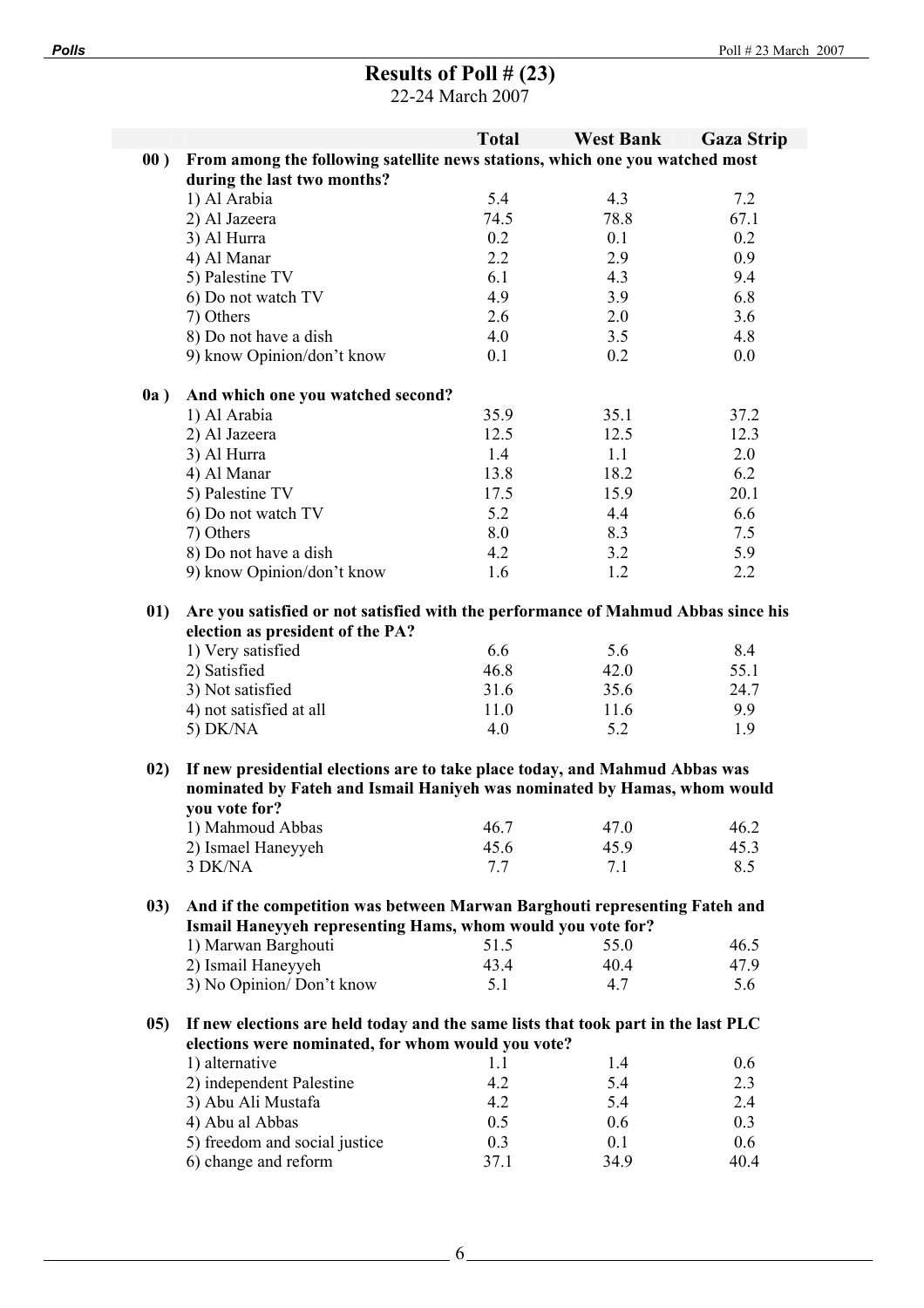# **Results of Poll # (23)**

22-24 March 2007

|      |                                                                                   | <b>Total</b> | <b>West Bank</b> | <b>Gaza Strip</b> |
|------|-----------------------------------------------------------------------------------|--------------|------------------|-------------------|
| 00)  | From among the following satellite news stations, which one you watched most      |              |                  |                   |
|      | during the last two months?                                                       |              |                  |                   |
|      | 1) Al Arabia                                                                      | 5.4          | 4.3              | 7.2               |
|      | 2) Al Jazeera                                                                     | 74.5         | 78.8             | 67.1              |
|      | 3) Al Hurra                                                                       | 0.2          | 0.1              | 0.2               |
|      | 4) Al Manar                                                                       | 2.2          | 2.9              | 0.9               |
|      | 5) Palestine TV                                                                   | 6.1          | 4.3              | 9.4               |
|      | 6) Do not watch TV                                                                | 4.9          | 3.9              | 6.8               |
|      | 7) Others                                                                         | 2.6          | 2.0              | 3.6               |
|      |                                                                                   |              |                  |                   |
|      | 8) Do not have a dish                                                             | 4.0          | 3.5              | 4.8               |
|      | 9) know Opinion/don't know                                                        | 0.1          | 0.2              | 0.0               |
| 0a)  | And which one you watched second?                                                 |              |                  |                   |
|      | 1) Al Arabia                                                                      | 35.9         | 35.1             | 37.2              |
|      | 2) Al Jazeera                                                                     | 12.5         | 12.5             | 12.3              |
|      | 3) Al Hurra                                                                       | 1.4          | 1.1              | 2.0               |
|      | 4) Al Manar                                                                       | 13.8         | 18.2             | 6.2               |
|      | 5) Palestine TV                                                                   | 17.5         | 15.9             | 20.1              |
|      | 6) Do not watch TV                                                                | 5.2          | 4.4              | 6.6               |
|      | 7) Others                                                                         | 8.0          | 8.3              | 7.5               |
|      | 8) Do not have a dish                                                             |              |                  |                   |
|      |                                                                                   | 4.2          | 3.2              | 5.9               |
|      | 9) know Opinion/don't know                                                        | 1.6          | 1.2              | 2.2               |
| 01)  | Are you satisfied or not satisfied with the performance of Mahmud Abbas since his |              |                  |                   |
|      | election as president of the PA?                                                  |              |                  |                   |
|      | 1) Very satisfied                                                                 | 6.6          | 5.6              | 8.4               |
|      | 2) Satisfied                                                                      | 46.8         | 42.0             | 55.1              |
|      | 3) Not satisfied                                                                  | 31.6         | 35.6             | 24.7              |
|      | 4) not satisfied at all                                                           | 11.0         | 11.6             | 9.9               |
|      | 5) $DK/NA$                                                                        | 4.0          | 5.2              | 1.9               |
|      |                                                                                   |              |                  |                   |
| 02)  | If new presidential elections are to take place today, and Mahmud Abbas was       |              |                  |                   |
|      | nominated by Fateh and Ismail Haniyeh was nominated by Hamas, whom would          |              |                  |                   |
|      | you vote for?                                                                     |              |                  |                   |
|      | 1) Mahmoud Abbas                                                                  | 46.7         | 47.0             | 46.2              |
|      | 2) Ismael Haneyyeh                                                                | 45.6         | 45.9             | 45.3              |
|      | 3 DK/NA                                                                           | 7.7          | 7.1              | 8.5               |
|      |                                                                                   |              |                  |                   |
| (03) | And if the competition was between Marwan Barghouti representing Fateh and        |              |                  |                   |
|      | Ismail Haneyyeh representing Hams, whom would you vote for?                       |              |                  |                   |
|      | 1) Marwan Barghouti                                                               | 51.5         | 55.0             | 46.5              |
|      | 2) Ismail Haneyyeh                                                                | 43.4         | 40.4             | 47.9              |
|      | 3) No Opinion/Don't know                                                          | 5.1          | 4.7              | 5.6               |
|      |                                                                                   |              |                  |                   |
| (05) | If new elections are held today and the same lists that took part in the last PLC |              |                  |                   |
|      | elections were nominated, for whom would you vote?                                |              |                  |                   |
|      | 1) alternative                                                                    | 1.1          | 1.4              | 0.6               |
|      | 2) independent Palestine                                                          | 4.2          | 5.4              | 2.3               |
|      | 3) Abu Ali Mustafa                                                                | 4.2          | 5.4              | 2.4               |
|      | 4) Abu al Abbas                                                                   | 0.5          | 0.6              | 0.3               |
|      | 5) freedom and social justice                                                     | 0.3          | 0.1              | 0.6               |
|      | 6) change and reform                                                              | 37.1         | 34.9             | 40.4              |
|      |                                                                                   |              |                  |                   |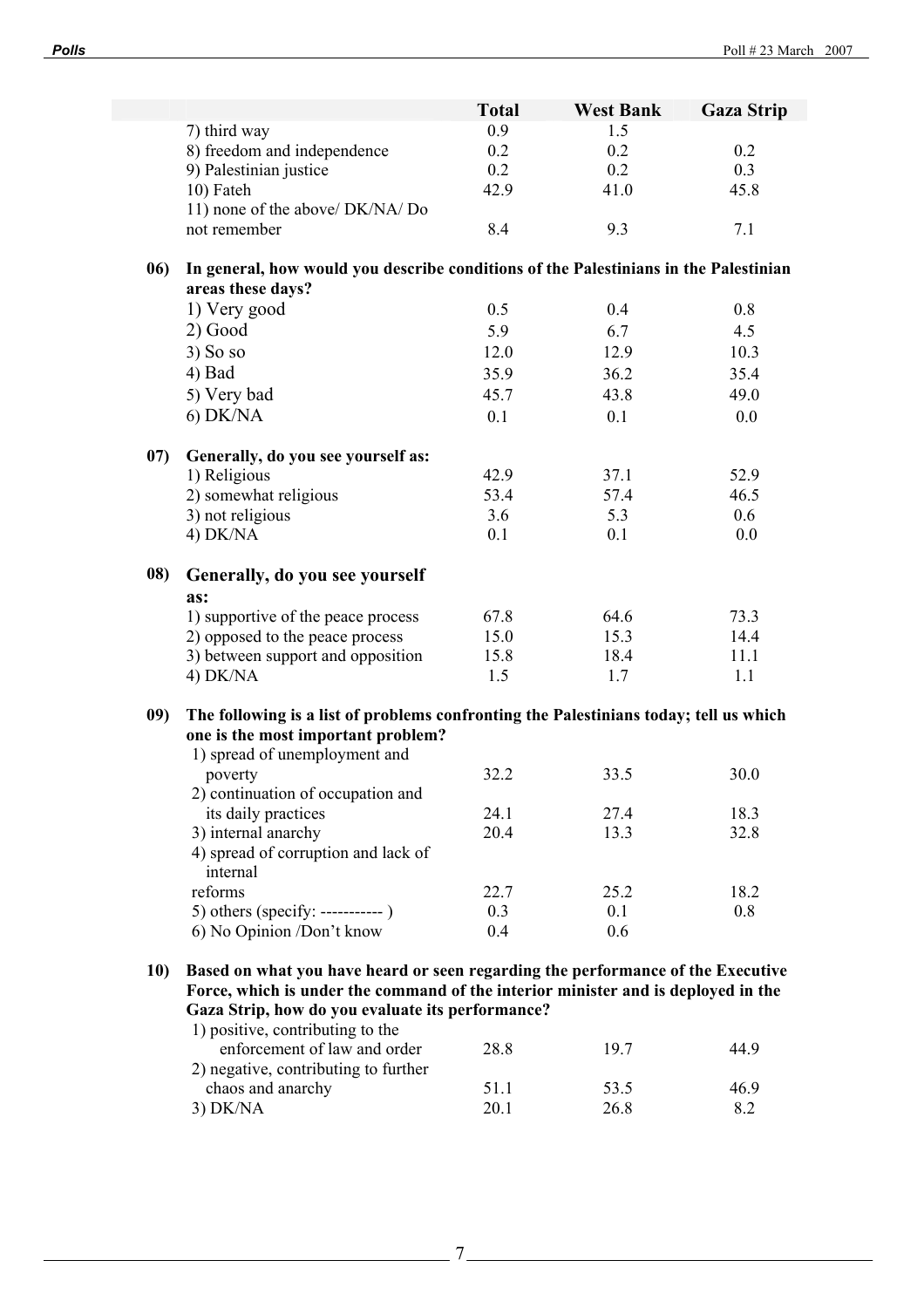|            |                                                                                                                                                                      | <b>Total</b> | <b>West Bank</b> | <b>Gaza Strip</b> |
|------------|----------------------------------------------------------------------------------------------------------------------------------------------------------------------|--------------|------------------|-------------------|
|            | 7) third way                                                                                                                                                         | 0.9          | 1.5              |                   |
|            | 8) freedom and independence                                                                                                                                          | 0.2          | 0.2              | 0.2               |
|            | 9) Palestinian justice                                                                                                                                               | 0.2          | 0.2              | 0.3               |
|            | 10) Fateh                                                                                                                                                            | 42.9         | 41.0             | 45.8              |
|            | 11) none of the above/ DK/NA/ Do                                                                                                                                     |              |                  |                   |
|            | not remember                                                                                                                                                         | 8.4          | 9.3              | 7.1               |
| 06)        | In general, how would you describe conditions of the Palestinians in the Palestinian<br>areas these days?                                                            |              |                  |                   |
|            | 1) Very good                                                                                                                                                         | 0.5          | 0.4              | 0.8               |
|            | $2)$ Good                                                                                                                                                            | 5.9          | 6.7              | 4.5               |
|            | 3) So so                                                                                                                                                             | 12.0         | 12.9             | 10.3              |
|            | $4)$ Bad                                                                                                                                                             | 35.9         | 36.2             | 35.4              |
|            | 5) Very bad                                                                                                                                                          | 45.7         | 43.8             | 49.0              |
|            | 6) DK/NA                                                                                                                                                             | 0.1          | 0.1              | 0.0               |
|            |                                                                                                                                                                      |              |                  |                   |
| 07)        | Generally, do you see yourself as:                                                                                                                                   |              |                  |                   |
|            | 1) Religious                                                                                                                                                         | 42.9         | 37.1             | 52.9              |
|            | 2) somewhat religious                                                                                                                                                | 53.4         | 57.4             | 46.5              |
|            | 3) not religious                                                                                                                                                     | 3.6          | 5.3              | 0.6               |
|            | 4) DK/NA                                                                                                                                                             | 0.1          | 0.1              | 0.0               |
| 08)        | Generally, do you see yourself                                                                                                                                       |              |                  |                   |
|            | as:                                                                                                                                                                  |              |                  |                   |
|            | 1) supportive of the peace process                                                                                                                                   | 67.8         | 64.6             | 73.3              |
|            | 2) opposed to the peace process                                                                                                                                      | 15.0         | 15.3             | 14.4              |
|            | 3) between support and opposition                                                                                                                                    | 15.8         | 18.4             | 11.1              |
|            | 4) DK/NA                                                                                                                                                             | 1.5          | 1.7              | 1.1               |
| 09)        | The following is a list of problems confronting the Palestinians today; tell us which                                                                                |              |                  |                   |
|            | one is the most important problem?                                                                                                                                   |              |                  |                   |
|            | 1) spread of unemployment and                                                                                                                                        |              |                  |                   |
|            | poverty                                                                                                                                                              | 32.2         | 33.5             | 30.0              |
|            | 2) continuation of occupation and                                                                                                                                    |              |                  |                   |
|            | its daily practices                                                                                                                                                  | 24.1         | 27.4             | 18.3              |
|            | 3) internal anarchy                                                                                                                                                  | 20.4         | 13.3             | 32.8              |
|            | 4) spread of corruption and lack of<br>internal                                                                                                                      |              |                  |                   |
|            | reforms                                                                                                                                                              | 22.7         | 25.2             | 18.2              |
|            |                                                                                                                                                                      | 0.3          | 0.1              | 0.8               |
|            | 6) No Opinion /Don't know                                                                                                                                            | 0.4          | 0.6              |                   |
|            |                                                                                                                                                                      |              |                  |                   |
|            |                                                                                                                                                                      |              |                  |                   |
| <b>10)</b> | Based on what you have heard or seen regarding the performance of the Executive<br>Force, which is under the command of the interior minister and is deployed in the |              |                  |                   |

| 28.8 | 197  | 44.9 |
|------|------|------|
|      |      |      |
| 51 1 | 53.5 | 469  |
| 20.1 | 26.8 | 82   |
|      |      |      |

7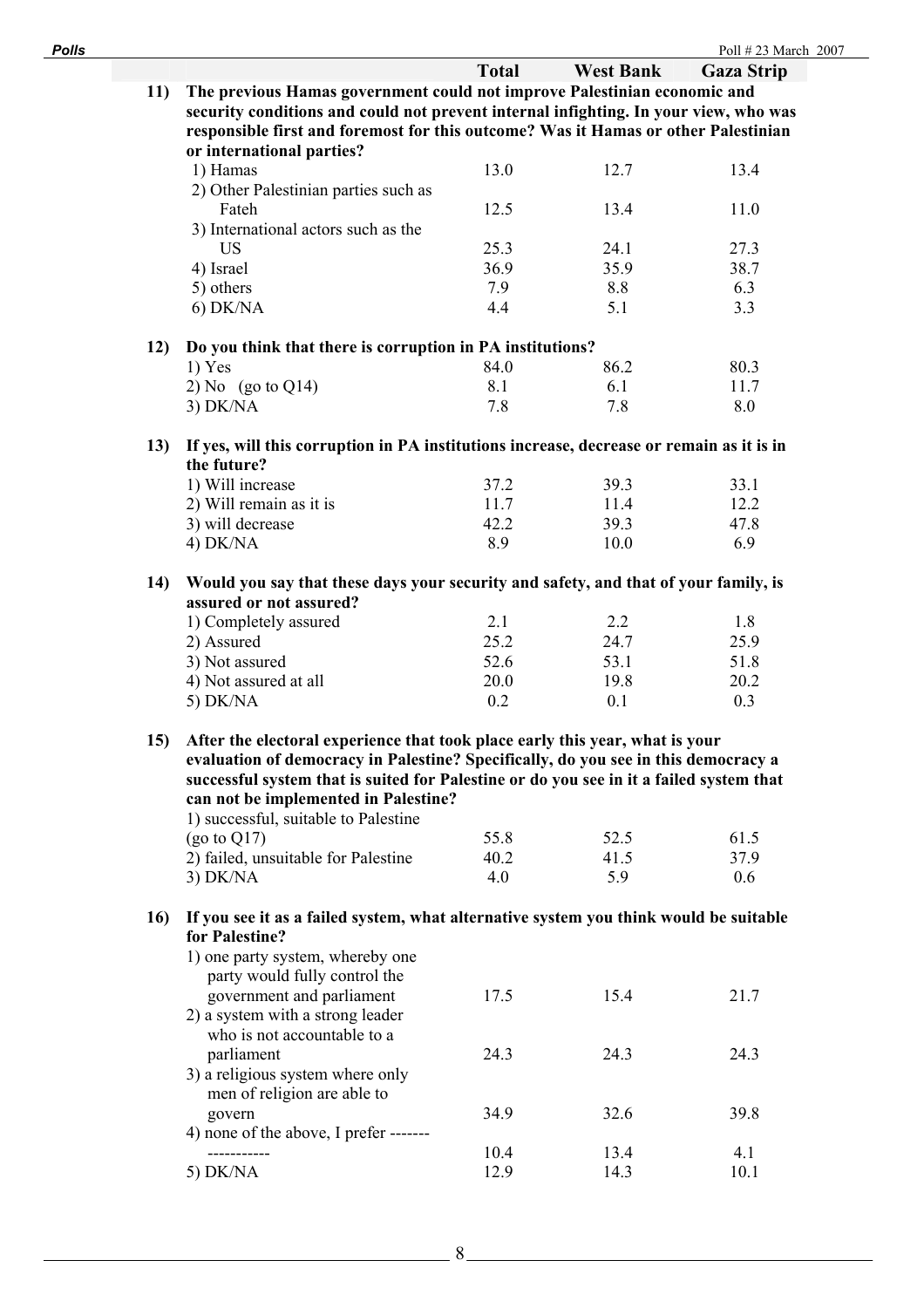| <b>Polls</b> |                                                                                                                |              |                  | Poll #23 March 2007 |
|--------------|----------------------------------------------------------------------------------------------------------------|--------------|------------------|---------------------|
|              |                                                                                                                | <b>Total</b> | <b>West Bank</b> | <b>Gaza Strip</b>   |
| 11)          | The previous Hamas government could not improve Palestinian economic and                                       |              |                  |                     |
|              | security conditions and could not prevent internal infighting. In your view, who was                           |              |                  |                     |
|              | responsible first and foremost for this outcome? Was it Hamas or other Palestinian                             |              |                  |                     |
|              | or international parties?                                                                                      |              |                  |                     |
|              | 1) Hamas                                                                                                       | 13.0         | 12.7             | 13.4                |
|              | 2) Other Palestinian parties such as                                                                           |              |                  |                     |
|              | Fateh                                                                                                          | 12.5         | 13.4             | 11.0                |
|              | 3) International actors such as the                                                                            |              |                  |                     |
|              | <b>US</b>                                                                                                      | 25.3         | 24.1             | 27.3                |
|              | 4) Israel                                                                                                      | 36.9         | 35.9             | 38.7                |
|              | 5) others                                                                                                      | 7.9          | 8.8              | 6.3                 |
|              | $6)$ DK/NA                                                                                                     | 4.4          | 5.1              | 3.3                 |
|              |                                                                                                                |              |                  |                     |
| 12)          | Do you think that there is corruption in PA institutions?                                                      |              |                  |                     |
|              | $1)$ Yes                                                                                                       | 84.0         | 86.2             | 80.3                |
|              |                                                                                                                | 8.1          | 6.1              | 11.7                |
|              | 2) No $(go \text{ to } Q14)$                                                                                   |              |                  |                     |
|              | $3)$ DK/NA                                                                                                     | 7.8          | 7.8              | 8.0                 |
|              |                                                                                                                |              |                  |                     |
| 13)          | If yes, will this corruption in PA institutions increase, decrease or remain as it is in                       |              |                  |                     |
|              | the future?                                                                                                    |              |                  |                     |
|              | 1) Will increase                                                                                               | 37.2         | 39.3             | 33.1                |
|              | 2) Will remain as it is                                                                                        | 11.7         | 11.4             | 12.2                |
|              | 3) will decrease                                                                                               | 42.2         | 39.3             | 47.8                |
|              | 4) DK/NA                                                                                                       | 8.9          | 10.0             | 6.9                 |
| 14)          | Would you say that these days your security and safety, and that of your family, is<br>assured or not assured? |              |                  |                     |
|              |                                                                                                                | 2.1          | 2.2              | 1.8                 |
|              | 1) Completely assured                                                                                          | 25.2         |                  |                     |
|              | 2) Assured                                                                                                     |              | 24.7             | 25.9                |
|              | 3) Not assured                                                                                                 | 52.6         | 53.1             | 51.8                |
|              | 4) Not assured at all                                                                                          | 20.0         | 19.8             | 20.2                |
|              | 5) DK/NA                                                                                                       | 0.2          | 0.1              | 0.3                 |
| 15)          | After the electoral experience that took place early this year, what is your                                   |              |                  |                     |
|              | evaluation of democracy in Palestine? Specifically, do you see in this democracy a                             |              |                  |                     |
|              | successful system that is suited for Palestine or do you see in it a failed system that                        |              |                  |                     |
|              | can not be implemented in Palestine?                                                                           |              |                  |                     |
|              | 1) successful, suitable to Palestine                                                                           |              |                  |                     |
|              | $(go \text{ to } Q17)$                                                                                         | 55.8         | 52.5             | 61.5                |
|              | 2) failed, unsuitable for Palestine                                                                            | 40.2         | 41.5             | 37.9                |
|              | $3)$ DK/NA                                                                                                     | 4.0          | 5.9              | 0.6                 |
|              |                                                                                                                |              |                  |                     |
| 16)          | If you see it as a failed system, what alternative system you think would be suitable<br>for Palestine?        |              |                  |                     |
|              | 1) one party system, whereby one<br>party would fully control the                                              |              |                  |                     |
|              | government and parliament                                                                                      | 17.5         | 15.4             | 21.7                |
|              | 2) a system with a strong leader                                                                               |              |                  |                     |
|              | who is not accountable to a                                                                                    |              |                  |                     |
|              | parliament                                                                                                     | 24.3         | 24.3             | 24.3                |
|              | 3) a religious system where only                                                                               |              |                  |                     |
|              | men of religion are able to                                                                                    |              |                  |                     |
|              | govern                                                                                                         | 34.9         | 32.6             | 39.8                |
|              | 4) none of the above, I prefer -------                                                                         |              |                  |                     |
|              |                                                                                                                | 10.4         | 13.4             | 4.1                 |
|              | 5) $DK/NA$                                                                                                     | 12.9         | 14.3             | 10.1                |
|              |                                                                                                                |              |                  |                     |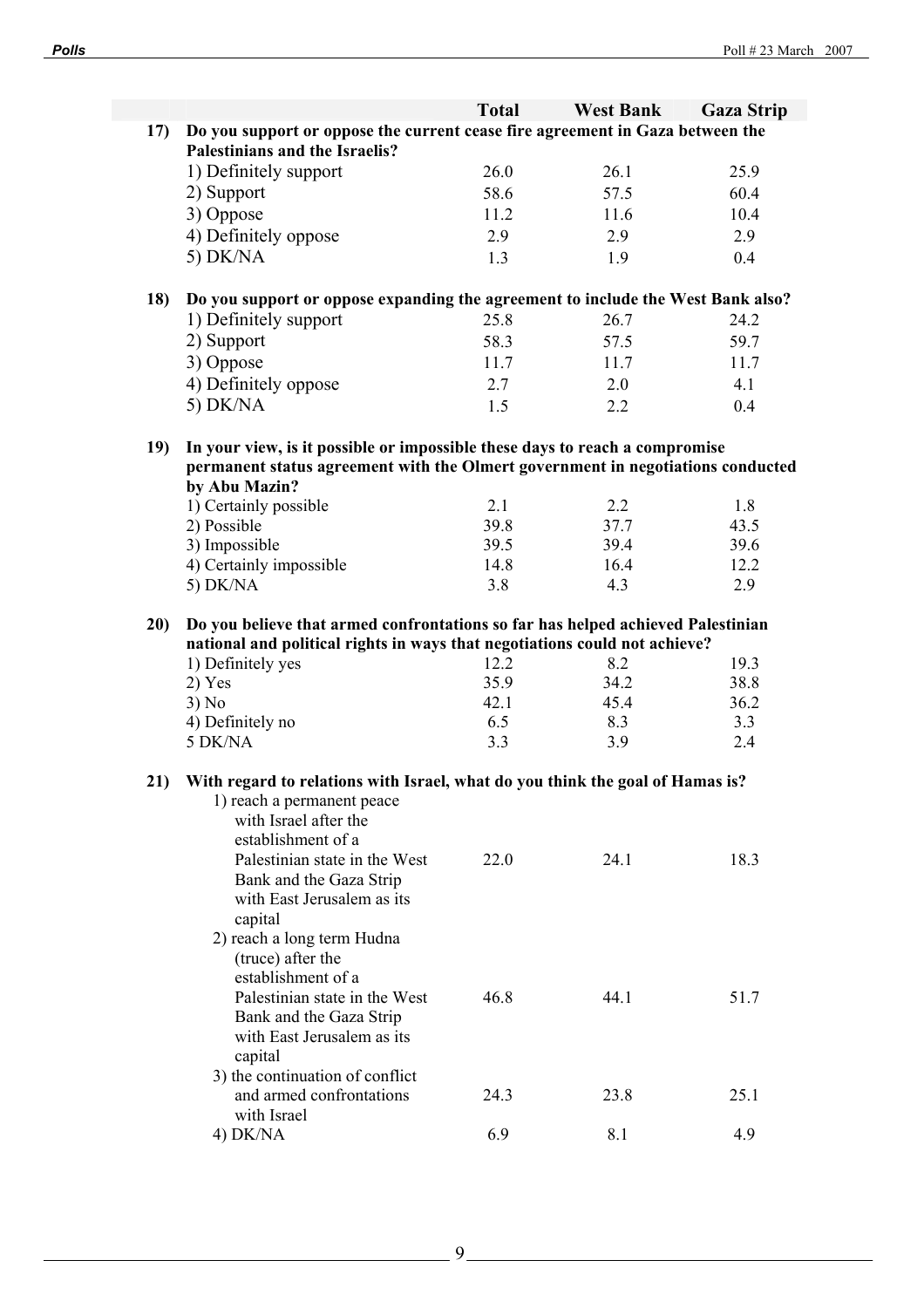|     |                                                                                 | <b>Total</b> | <b>West Bank</b> | <b>Gaza Strip</b> |
|-----|---------------------------------------------------------------------------------|--------------|------------------|-------------------|
| 17) | Do you support or oppose the current cease fire agreement in Gaza between the   |              |                  |                   |
|     | Palestinians and the Israelis?                                                  |              |                  |                   |
|     | 1) Definitely support                                                           | 26.0         | 26.1             | 25.9              |
|     | 2) Support                                                                      | 58.6         | 57.5             | 60.4              |
|     | 3) Oppose                                                                       | 11.2         | 11.6             | 10.4              |
|     | 4) Definitely oppose                                                            | 2.9          | 2.9              | 2.9               |
|     | 5) DK/NA                                                                        | 1.3          | 1.9              | 0.4               |
|     |                                                                                 |              |                  |                   |
| 18) | Do you support or oppose expanding the agreement to include the West Bank also? |              |                  |                   |
|     | 1) Definitely support                                                           | 25.8         | 26.7             | 24.2              |
|     | 2) Support                                                                      | 58.3         | 57.5             | 59.7              |
|     | 3) Oppose                                                                       | 11.7         | 11.7             | 11.7              |
|     | 4) Definitely oppose                                                            | 2.7          | 2.0              | 4.1               |
|     | 5) DK/NA                                                                        | 1.5          | 2.2              | 0.4               |
|     |                                                                                 |              |                  |                   |
| 19) | In your view, is it possible or impossible these days to reach a compromise     |              |                  |                   |
|     | permanent status agreement with the Olmert government in negotiations conducted |              |                  |                   |
|     | by Abu Mazin?                                                                   |              |                  |                   |
|     | 1) Certainly possible                                                           | 2.1          | 2.2              | 1.8               |
|     | 2) Possible                                                                     | 39.8         | 37.7             | 43.5              |
|     | 3) Impossible                                                                   | 39.5         | 39.4             | 39.6              |
|     | 4) Certainly impossible                                                         | 14.8<br>3.8  | 16.4<br>4.3      | 12.2<br>2.9       |
|     | 5) DK/NA                                                                        |              |                  |                   |
| 20) | Do you believe that armed confrontations so far has helped achieved Palestinian |              |                  |                   |
|     | national and political rights in ways that negotiations could not achieve?      |              |                  |                   |
|     | 1) Definitely yes                                                               | 12.2         | 8.2              | 19.3              |
|     | $2)$ Yes                                                                        | 35.9         | 34.2             | 38.8              |
|     | 3) No                                                                           | 42.1         | 45.4             | 36.2              |
|     | 4) Definitely no                                                                | 6.5          | 8.3              | 3.3               |
|     | 5 DK/NA                                                                         | 3.3          | 3.9              | 2.4               |
|     |                                                                                 |              |                  |                   |
| 21) | With regard to relations with Israel, what do you think the goal of Hamas is?   |              |                  |                   |
|     | 1) reach a permanent peace<br>with Israel after the                             |              |                  |                   |
|     | establishment of a                                                              |              |                  |                   |
|     | Palestinian state in the West                                                   | 22.0         | 24.1             | 18.3              |
|     | Bank and the Gaza Strip                                                         |              |                  |                   |
|     | with East Jerusalem as its                                                      |              |                  |                   |
|     | capital                                                                         |              |                  |                   |
|     | 2) reach a long term Hudna                                                      |              |                  |                   |
|     | (truce) after the                                                               |              |                  |                   |
|     | establishment of a                                                              |              |                  |                   |
|     | Palestinian state in the West                                                   | 46.8         | 44.1             | 51.7              |
|     | Bank and the Gaza Strip                                                         |              |                  |                   |
|     | with East Jerusalem as its                                                      |              |                  |                   |
|     | capital                                                                         |              |                  |                   |
|     | 3) the continuation of conflict                                                 |              |                  |                   |
|     | and armed confrontations                                                        | 24.3         | 23.8             | 25.1              |
|     | with Israel<br>$4)$ DK/NA                                                       | 6.9          | 8.1              | 4.9               |
|     |                                                                                 |              |                  |                   |

 $9<sub>-</sub>$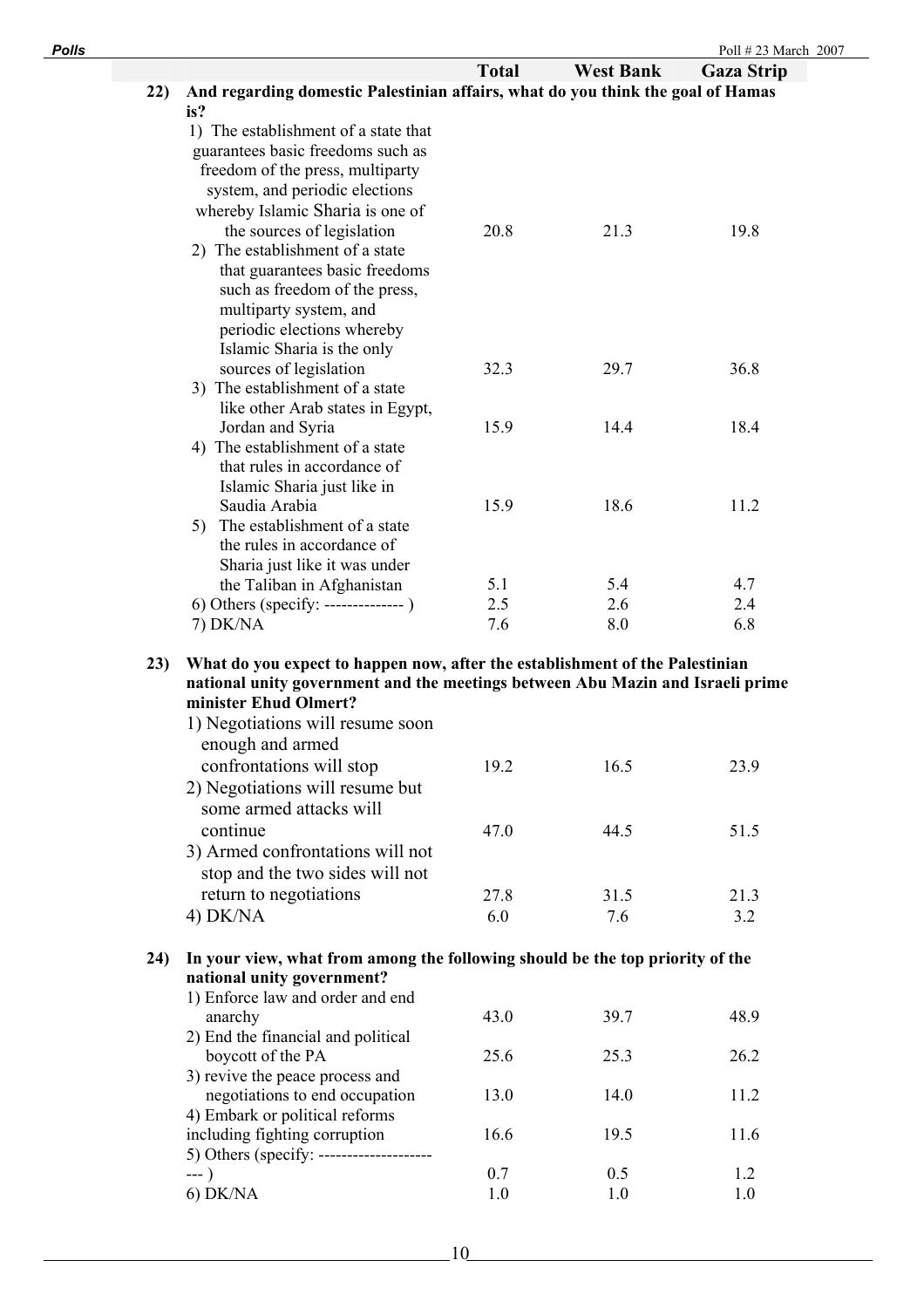| <b>Polls</b> |     |                                                                                 |              |                  | Poll #23 March 2007 |
|--------------|-----|---------------------------------------------------------------------------------|--------------|------------------|---------------------|
|              |     |                                                                                 | <b>Total</b> | <b>West Bank</b> | <b>Gaza Strip</b>   |
|              | 22) | And regarding domestic Palestinian affairs, what do you think the goal of Hamas |              |                  |                     |
|              |     | is?                                                                             |              |                  |                     |
|              |     | 1) The establishment of a state that                                            |              |                  |                     |
|              |     | guarantees basic freedoms such as                                               |              |                  |                     |
|              |     | freedom of the press, multiparty                                                |              |                  |                     |
|              |     | system, and periodic elections                                                  |              |                  |                     |
|              |     | whereby Islamic Sharia is one of                                                |              |                  |                     |
|              |     | the sources of legislation                                                      | 20.8         | 21.3             | 19.8                |
|              |     | 2) The establishment of a state                                                 |              |                  |                     |
|              |     | that guarantees basic freedoms                                                  |              |                  |                     |
|              |     | such as freedom of the press,                                                   |              |                  |                     |
|              |     | multiparty system, and                                                          |              |                  |                     |
|              |     | periodic elections whereby                                                      |              |                  |                     |
|              |     | Islamic Sharia is the only                                                      |              |                  |                     |
|              |     | sources of legislation                                                          | 32.3         | 29.7             | 36.8                |
|              |     | 3) The establishment of a state                                                 |              |                  |                     |
|              |     | like other Arab states in Egypt,                                                |              |                  |                     |
|              |     | Jordan and Syria<br>4) The establishment of a state                             | 15.9         | 14.4             | 18.4                |
|              |     | that rules in accordance of                                                     |              |                  |                     |
|              |     | Islamic Sharia just like in                                                     |              |                  |                     |
|              |     | Saudia Arabia                                                                   | 15.9         | 18.6             | 11.2                |
|              |     | 5) The establishment of a state                                                 |              |                  |                     |
|              |     | the rules in accordance of                                                      |              |                  |                     |
|              |     | Sharia just like it was under                                                   |              |                  |                     |
|              |     | the Taliban in Afghanistan                                                      | 5.1          | 5.4              | 4.7                 |
|              |     |                                                                                 | 2.5          | 2.6              | 2.4                 |
|              |     | 7) DK/NA                                                                        | 7.6          | 8.0              | 6.8                 |
|              |     |                                                                                 |              |                  |                     |
|              | 23) | What do you expect to happen now, after the establishment of the Palestinian    |              |                  |                     |
|              |     | national unity government and the meetings between Abu Mazin and Israeli prime  |              |                  |                     |
|              |     | minister Ehud Olmert?                                                           |              |                  |                     |
|              |     | 1) Negotiations will resume soon                                                |              |                  |                     |
|              |     | enough and armed                                                                |              |                  |                     |
|              |     | confrontations will stop                                                        | 19.2         | 16.5             | 23.9                |
|              |     | 2) Negotiations will resume but                                                 |              |                  |                     |
|              |     | some armed attacks will                                                         |              |                  |                     |
|              |     | continue                                                                        | 47.0         | 44.5             | 51.5                |
|              |     | 3) Armed confrontations will not                                                |              |                  |                     |
|              |     | stop and the two sides will not                                                 |              |                  |                     |
|              |     | return to negotiations                                                          | 27.8         | 31.5             | 21.3                |
|              |     | 4) DK/NA                                                                        | 6.0          | 7.6              | 3.2                 |
|              |     |                                                                                 |              |                  |                     |
|              | 24) | In your view, what from among the following should be the top priority of the   |              |                  |                     |
|              |     | national unity government?                                                      |              |                  |                     |
|              |     | 1) Enforce law and order and end                                                |              |                  |                     |
|              |     | anarchy                                                                         | 43.0         | 39.7             | 48.9                |
|              |     | 2) End the financial and political                                              |              |                  |                     |
|              |     | boycott of the PA                                                               | 25.6         | 25.3             | 26.2                |
|              |     | 3) revive the peace process and                                                 |              |                  |                     |
|              |     | negotiations to end occupation                                                  | 13.0         | 14.0             | 11.2                |
|              |     | 4) Embark or political reforms                                                  |              |                  |                     |
|              |     | including fighting corruption                                                   | 16.6         | 19.5             | 11.6                |
|              |     | 5) Others (specify: --------------------                                        | 0.7          |                  |                     |
|              |     | $---)$<br>$6)$ DK/NA                                                            | 1.0          | 0.5<br>1.0       | 1.2<br>1.0          |
|              |     |                                                                                 |              |                  |                     |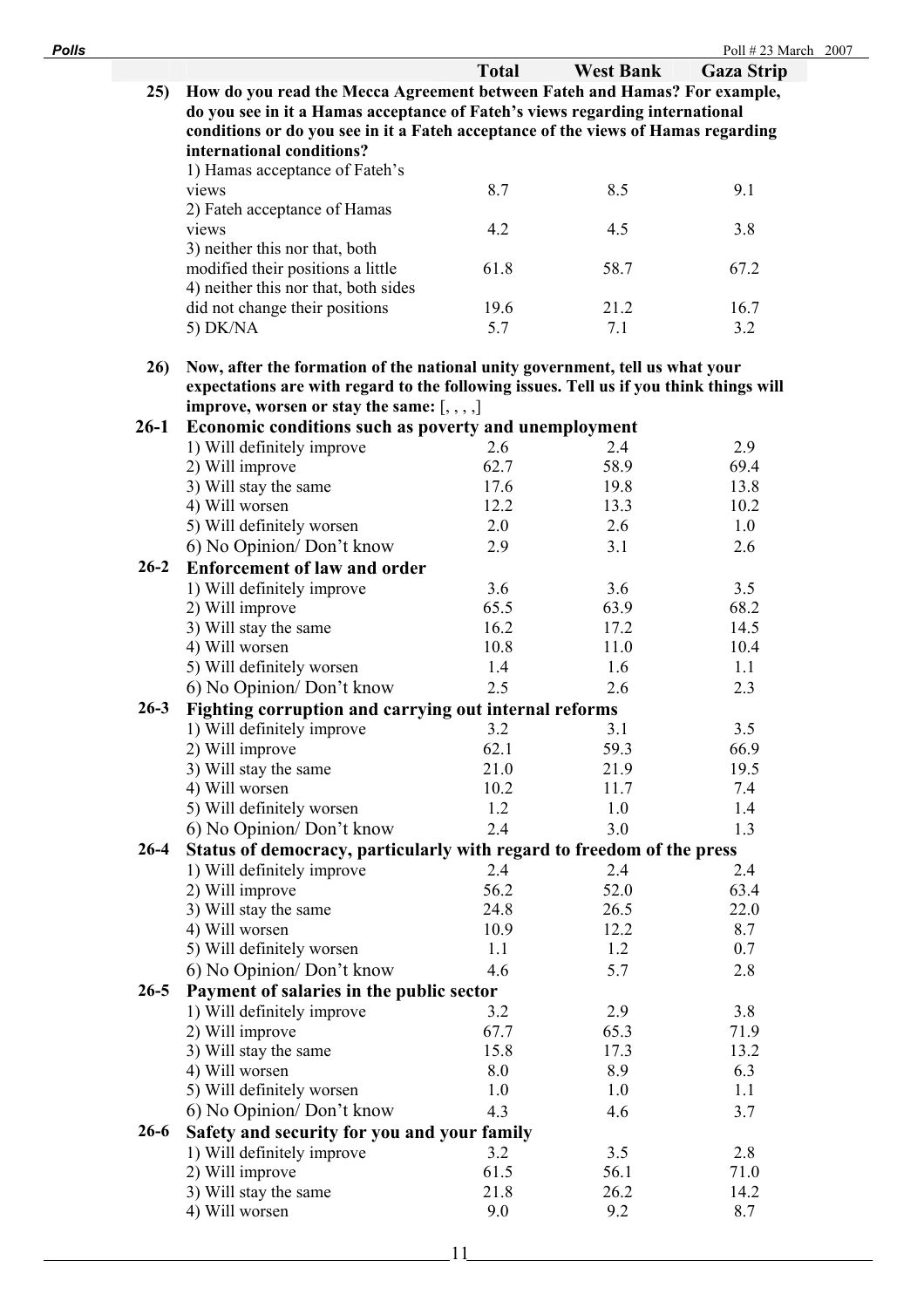| <b>Polls</b> |                                                                                        |              |                  | Poll #23 March 2007 |  |
|--------------|----------------------------------------------------------------------------------------|--------------|------------------|---------------------|--|
|              |                                                                                        | <b>Total</b> | <b>West Bank</b> | <b>Gaza Strip</b>   |  |
|              | How do you read the Mecca Agreement between Fateh and Hamas? For example,<br>25)       |              |                  |                     |  |
|              | do you see in it a Hamas acceptance of Fateh's views regarding international           |              |                  |                     |  |
|              | conditions or do you see in it a Fateh acceptance of the views of Hamas regarding      |              |                  |                     |  |
|              | international conditions?                                                              |              |                  |                     |  |
|              | 1) Hamas acceptance of Fateh's                                                         |              |                  |                     |  |
|              | views                                                                                  | 8.7          | 8.5              | 9.1                 |  |
|              | 2) Fateh acceptance of Hamas                                                           |              |                  |                     |  |
|              | views                                                                                  | 4.2          | 4.5              | 3.8                 |  |
|              | 3) neither this nor that, both                                                         |              |                  |                     |  |
|              | modified their positions a little                                                      | 61.8         | 58.7             | 67.2                |  |
|              | 4) neither this nor that, both sides                                                   |              |                  |                     |  |
|              | did not change their positions                                                         | 19.6         | 21.2             | 16.7                |  |
|              | 5) DK/NA                                                                               | 5.7          | 7.1              | 3.2                 |  |
|              |                                                                                        |              |                  |                     |  |
|              | 26)<br>Now, after the formation of the national unity government, tell us what your    |              |                  |                     |  |
|              | expectations are with regard to the following issues. Tell us if you think things will |              |                  |                     |  |
|              | improve, worsen or stay the same: $[, , , ,]$                                          |              |                  |                     |  |
| $26-1$       | Economic conditions such as poverty and unemployment                                   |              |                  |                     |  |
|              | 1) Will definitely improve                                                             | 2.6          | 2.4              | 2.9                 |  |
|              | 2) Will improve                                                                        | 62.7         | 58.9             | 69.4                |  |
|              | 3) Will stay the same                                                                  | 17.6         | 19.8             | 13.8                |  |
|              | 4) Will worsen                                                                         | 12.2         | 13.3             | 10.2                |  |
|              | 5) Will definitely worsen                                                              | 2.0          | 2.6              | 1.0                 |  |
|              | 6) No Opinion/Don't know                                                               | 2.9          | 3.1              | 2.6                 |  |
| $26 - 2$     | <b>Enforcement of law and order</b>                                                    |              |                  |                     |  |
|              | 1) Will definitely improve                                                             | 3.6          | 3.6              | 3.5                 |  |
|              | 2) Will improve                                                                        | 65.5         | 63.9             | 68.2                |  |
|              | 3) Will stay the same                                                                  | 16.2         | 17.2             | 14.5                |  |
|              | 4) Will worsen                                                                         | 10.8         | 11.0             | 10.4                |  |
|              | 5) Will definitely worsen                                                              | 1.4          | 1.6              | 1.1                 |  |
|              | 6) No Opinion/Don't know                                                               | 2.5          | 2.6              | 2.3                 |  |
| $26 - 3$     | Fighting corruption and carrying out internal reforms                                  |              |                  |                     |  |
|              | 1) Will definitely improve                                                             | 3.2          | 3.1              | 3.5                 |  |
|              | 2) Will improve                                                                        |              |                  |                     |  |
|              |                                                                                        | 62.1         | 59.3             | 66.9                |  |
|              | 3) Will stay the same                                                                  | 21.0         | 21.9             | 19.5                |  |
|              | 4) Will worsen                                                                         | 10.2<br>1.2  | 11.7             | 7.4                 |  |
|              | 5) Will definitely worsen                                                              |              | 1.0              | 1.4                 |  |
|              | 6) No Opinion/Don't know                                                               | 2.4          | 3.0              | 1.3                 |  |
| $26 - 4$     | Status of democracy, particularly with regard to freedom of the press                  |              |                  |                     |  |
|              | 1) Will definitely improve                                                             | 2.4          | 2.4              | 2.4                 |  |
|              | 2) Will improve                                                                        | 56.2         | 52.0             | 63.4                |  |
|              | 3) Will stay the same                                                                  | 24.8         | 26.5             | 22.0                |  |
|              | 4) Will worsen                                                                         | 10.9         | 12.2             | 8.7                 |  |
|              | 5) Will definitely worsen                                                              | 1.1          | 1.2              | 0.7                 |  |
|              | 6) No Opinion/Don't know                                                               | 4.6          | 5.7              | 2.8                 |  |
| $26 - 5$     | Payment of salaries in the public sector                                               |              |                  |                     |  |
|              | 1) Will definitely improve                                                             | 3.2          | 2.9              | 3.8                 |  |
|              | 2) Will improve                                                                        | 67.7         | 65.3             | 71.9                |  |
|              | 3) Will stay the same                                                                  | 15.8         | 17.3             | 13.2                |  |
|              | 4) Will worsen                                                                         | 8.0          | 8.9              | 6.3                 |  |
|              | 5) Will definitely worsen                                                              | 1.0          | 1.0              | 1.1                 |  |
|              | 6) No Opinion/Don't know                                                               | 4.3          | 4.6              | 3.7                 |  |
| $26-6$       | Safety and security for you and your family                                            |              |                  |                     |  |
|              | 1) Will definitely improve                                                             | 3.2          | 3.5              | 2.8                 |  |
|              | 2) Will improve                                                                        | 61.5         | 56.1             | 71.0                |  |
|              | 3) Will stay the same                                                                  | 21.8         | 26.2             | 14.2                |  |
|              | 4) Will worsen                                                                         | 9.0          | 9.2              | 8.7                 |  |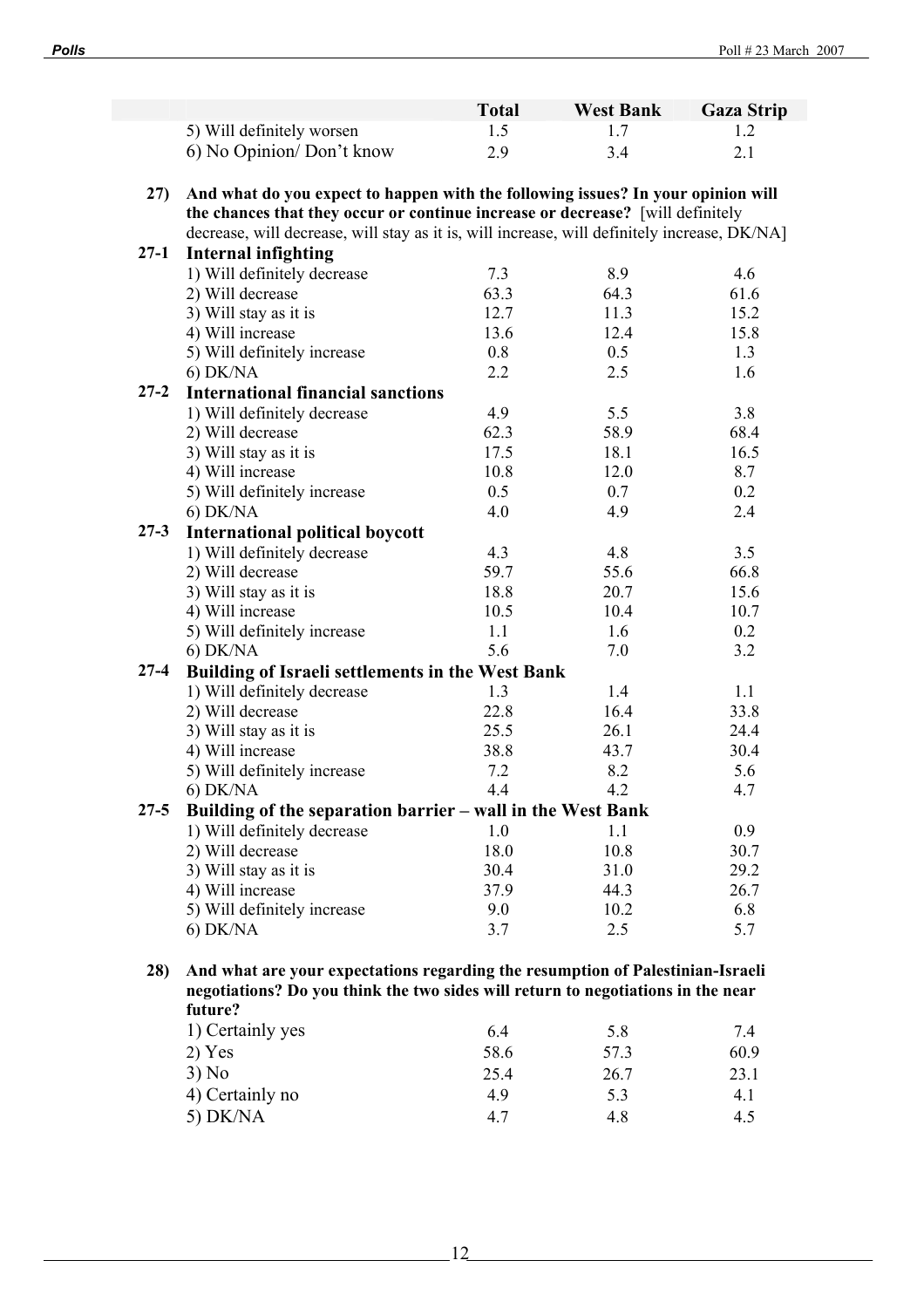|          |                                                                                              | <b>Total</b> | <b>West Bank</b> | <b>Gaza Strip</b> |
|----------|----------------------------------------------------------------------------------------------|--------------|------------------|-------------------|
|          | 5) Will definitely worsen                                                                    | 1.5          | 1.7              | 1.2               |
|          | 6) No Opinion/Don't know                                                                     | 2.9          | 3.4              | 2.1               |
|          |                                                                                              |              |                  |                   |
| 27)      | And what do you expect to happen with the following issues? In your opinion will             |              |                  |                   |
|          | the chances that they occur or continue increase or decrease? [will definitely               |              |                  |                   |
|          | decrease, will decrease, will stay as it is, will increase, will definitely increase, DK/NA] |              |                  |                   |
| $27-1$   | <b>Internal infighting</b>                                                                   |              |                  |                   |
|          | 1) Will definitely decrease                                                                  | 7.3          | 8.9              | 4.6               |
|          | 2) Will decrease                                                                             | 63.3         | 64.3             | 61.6              |
|          | 3) Will stay as it is                                                                        | 12.7         | 11.3             | 15.2              |
|          | 4) Will increase                                                                             | 13.6         | 12.4             | 15.8              |
|          | 5) Will definitely increase                                                                  | 0.8          | 0.5              | 1.3               |
|          | $6)$ DK/NA                                                                                   | 2.2          | 2.5              | 1.6               |
| $27 - 2$ | <b>International financial sanctions</b>                                                     |              |                  |                   |
|          | 1) Will definitely decrease                                                                  | 4.9          | 5.5              | 3.8               |
|          | 2) Will decrease                                                                             | 62.3         | 58.9             | 68.4              |
|          | 3) Will stay as it is                                                                        | 17.5         | 18.1             | 16.5              |
|          | 4) Will increase                                                                             | 10.8         | 12.0             | 8.7               |
|          | 5) Will definitely increase                                                                  | 0.5          | 0.7              | 0.2               |
|          | $6)$ DK/NA                                                                                   | 4.0          | 4.9              | 2.4               |
| $27 - 3$ | <b>International political boycott</b>                                                       |              |                  |                   |
|          | 1) Will definitely decrease                                                                  | 4.3          | 4.8              | 3.5               |
|          | 2) Will decrease                                                                             | 59.7         | 55.6             | 66.8              |
|          | 3) Will stay as it is                                                                        | 18.8         | 20.7             | 15.6              |
|          | 4) Will increase                                                                             | 10.5         | 10.4             | 10.7              |
|          | 5) Will definitely increase                                                                  | 1.1          | 1.6              | 0.2               |
|          | $6)$ DK/NA                                                                                   | 5.6          | 7.0              | 3.2               |
| $27 - 4$ | Building of Israeli settlements in the West Bank                                             |              |                  |                   |
|          | 1) Will definitely decrease                                                                  | 1.3          | 1.4              | 1.1               |
|          | 2) Will decrease                                                                             | 22.8         | 16.4             | 33.8              |
|          | 3) Will stay as it is                                                                        | 25.5         | 26.1             | 24.4              |
|          | 4) Will increase                                                                             | 38.8         | 43.7             | 30.4              |
|          | 5) Will definitely increase                                                                  | 7.2          | 8.2              | 5.6               |
|          | $6)$ DK/NA                                                                                   | 4.4          | 4.2              | 4.7               |
| $27 - 5$ | Building of the separation barrier - wall in the West Bank                                   |              |                  |                   |
|          | 1) Will definitely decrease                                                                  | 1.0          | 1.1              | 0.9               |
|          | 2) Will decrease                                                                             | 18.0         | 10.8             | 30.7              |
|          | 3) Will stay as it is                                                                        | 30.4         | 31.0             | 29.2              |
|          | 4) Will increase                                                                             | 37.9         | 44.3             | 26.7              |
|          | 5) Will definitely increase                                                                  | 9.0          | 10.2             | 6.8               |
|          | $6)$ DK/NA                                                                                   | 3.7          | 2.5              | 5.7               |
|          |                                                                                              |              |                  |                   |
| 28)      | And what are your expectations regarding the resumption of Palestinian-Israeli               |              |                  |                   |
|          | negotiations? Do you think the two sides will return to negotiations in the near             |              |                  |                   |
|          | future?                                                                                      |              |                  |                   |
|          | 1) Certainly yes                                                                             | 6.4          | 5.8              | 7.4               |
|          | 2) Yes                                                                                       | 58.6         | 57.3             | 60.9              |
|          |                                                                                              |              |                  |                   |
|          | 3) No                                                                                        | 25.4         | 26.7             | 23.1              |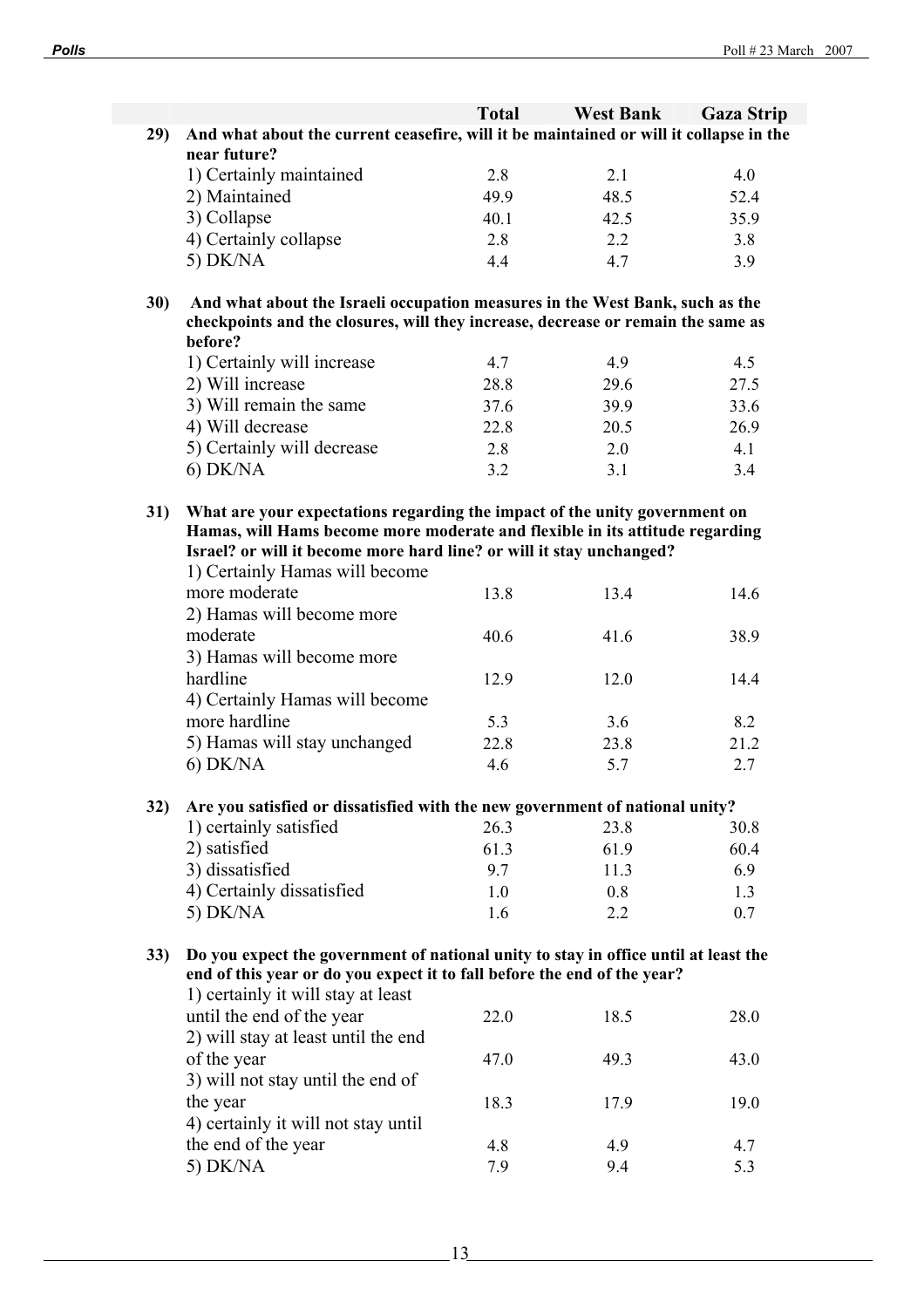|            |                                                                                                                                                                  | <b>Total</b> | <b>West Bank</b> | <b>Gaza Strip</b> |
|------------|------------------------------------------------------------------------------------------------------------------------------------------------------------------|--------------|------------------|-------------------|
| 29)        | And what about the current ceasefire, will it be maintained or will it collapse in the                                                                           |              |                  |                   |
|            | near future?                                                                                                                                                     |              |                  |                   |
|            | 1) Certainly maintained                                                                                                                                          | 2.8          | 2.1              | 4.0               |
|            | 2) Maintained                                                                                                                                                    | 49.9         | 48.5             | 52.4              |
|            | 3) Collapse                                                                                                                                                      | 40.1         | 42.5             | 35.9              |
|            | 4) Certainly collapse                                                                                                                                            | 2.8          | $2.2^{\circ}$    | 3.8               |
|            | 5) DK/NA                                                                                                                                                         | 4.4          | 4.7              | 3.9               |
|            |                                                                                                                                                                  |              |                  |                   |
| <b>30)</b> | And what about the Israeli occupation measures in the West Bank, such as the<br>checkpoints and the closures, will they increase, decrease or remain the same as |              |                  |                   |
|            | before?                                                                                                                                                          |              |                  |                   |
|            | 1) Certainly will increase                                                                                                                                       | 4.7          | 4.9              | 4.5               |
|            | 2) Will increase                                                                                                                                                 | 28.8         | 29.6             | 27.5              |
|            | 3) Will remain the same                                                                                                                                          | 37.6         | 39.9             | 33.6              |
|            | 4) Will decrease                                                                                                                                                 | 22.8         | 20.5             | 26.9              |
|            | 5) Certainly will decrease                                                                                                                                       | 2.8          | 2.0              | 4.1               |
|            | $6)$ DK/NA                                                                                                                                                       | 3.2          | 3.1              | 3.4               |
|            |                                                                                                                                                                  |              |                  |                   |
| 31)        | What are your expectations regarding the impact of the unity government on                                                                                       |              |                  |                   |
|            | Hamas, will Hams become more moderate and flexible in its attitude regarding                                                                                     |              |                  |                   |
|            | Israel? or will it become more hard line? or will it stay unchanged?                                                                                             |              |                  |                   |
|            | 1) Certainly Hamas will become                                                                                                                                   |              |                  |                   |
|            | more moderate                                                                                                                                                    | 13.8         | 13.4             | 14.6              |
|            | 2) Hamas will become more                                                                                                                                        |              |                  |                   |
|            | moderate                                                                                                                                                         | 40.6         | 41.6             | 38.9              |
|            | 3) Hamas will become more                                                                                                                                        |              |                  |                   |
|            | hardline                                                                                                                                                         | 12.9         | 12.0             | 14.4              |
|            | 4) Certainly Hamas will become                                                                                                                                   |              |                  |                   |
|            | more hardline                                                                                                                                                    | 5.3          | 3.6              | 8.2               |
|            | 5) Hamas will stay unchanged                                                                                                                                     | 22.8         | 23.8             | 21.2              |
|            | 6) DK/NA                                                                                                                                                         | 4.6          | 5.7              | 2.7               |
|            |                                                                                                                                                                  |              |                  |                   |
| 32)        | Are you satisfied or dissatisfied with the new government of national unity?                                                                                     |              |                  |                   |
|            | 1) certainly satisfied                                                                                                                                           | 26.3         | 23.8             | 30.8              |
|            | 2) satisfied<br>3) dissatisfied                                                                                                                                  | 61.3         | 61.9             | 60.4              |
|            |                                                                                                                                                                  | 9.7          | 11.3             | 6.9               |
|            | 4) Certainly dissatisfied                                                                                                                                        | 1.0          | 0.8              | 1.3               |
|            | 5) DK/NA                                                                                                                                                         | 1.6          | 2.2              | 0.7               |
| 33)        | Do you expect the government of national unity to stay in office until at least the                                                                              |              |                  |                   |
|            | end of this year or do you expect it to fall before the end of the year?                                                                                         |              |                  |                   |
|            | 1) certainly it will stay at least                                                                                                                               |              |                  |                   |
|            | until the end of the year                                                                                                                                        | 22.0         | 18.5             | 28.0              |
|            | 2) will stay at least until the end                                                                                                                              |              |                  |                   |
|            | of the year                                                                                                                                                      | 47.0         | 49.3             | 43.0              |
|            | 3) will not stay until the end of                                                                                                                                |              |                  |                   |
|            | the year                                                                                                                                                         | 18.3         | 17.9             | 19.0              |
|            | 4) certainly it will not stay until                                                                                                                              |              |                  |                   |
|            | the end of the year                                                                                                                                              | 4.8          | 4.9              | 4.7               |
|            | 5) DK/NA                                                                                                                                                         | 7.9          | 9.4              | 5.3               |
|            |                                                                                                                                                                  |              |                  |                   |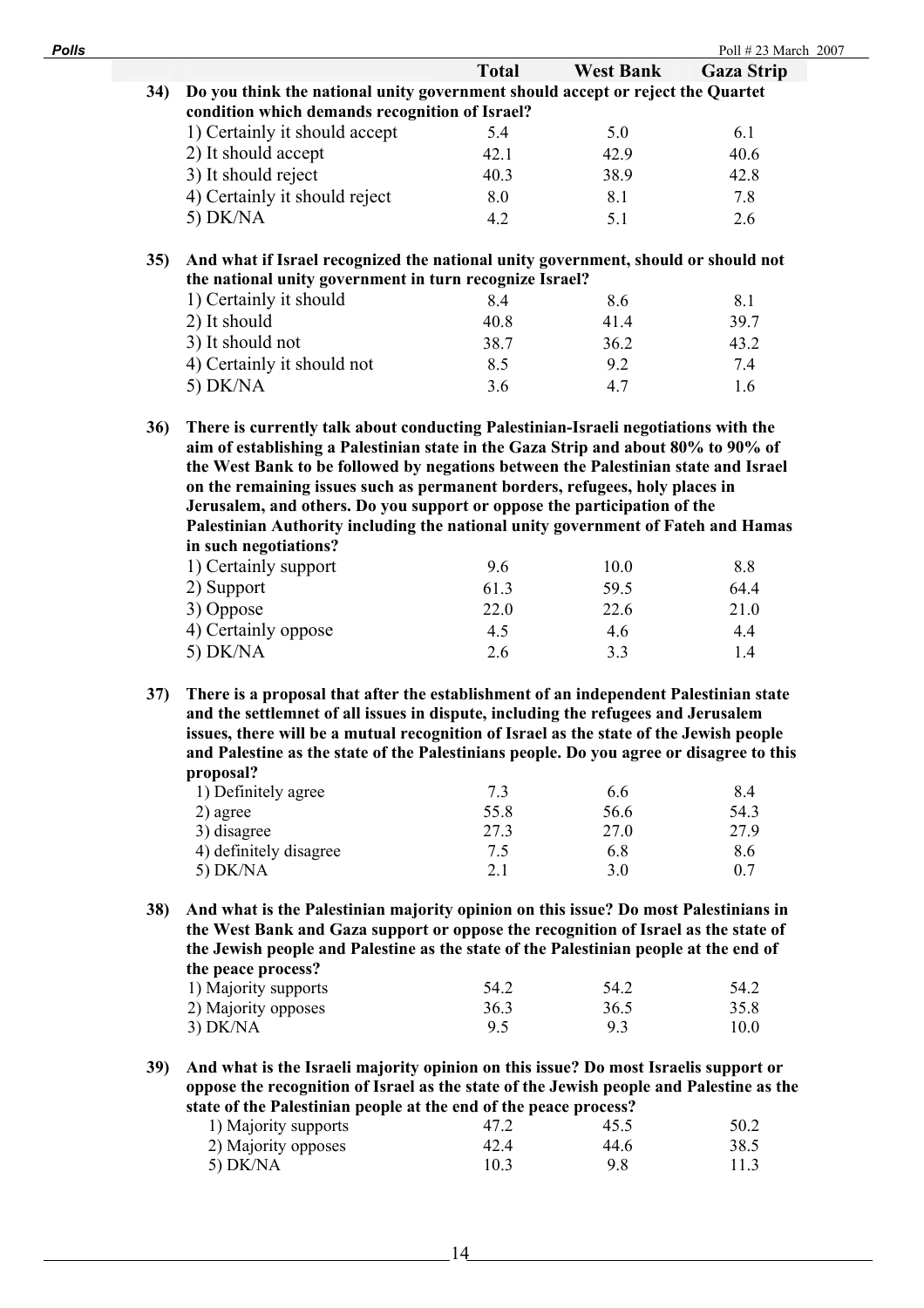| <b>Polls</b> |                                                                                                                                                              |                                                                                         |              |                  | Poll #23 March 2007 |  |  |
|--------------|--------------------------------------------------------------------------------------------------------------------------------------------------------------|-----------------------------------------------------------------------------------------|--------------|------------------|---------------------|--|--|
|              |                                                                                                                                                              |                                                                                         | <b>Total</b> | <b>West Bank</b> | <b>Gaza Strip</b>   |  |  |
|              | 34)                                                                                                                                                          | Do you think the national unity government should accept or reject the Quartet          |              |                  |                     |  |  |
|              |                                                                                                                                                              | condition which demands recognition of Israel?                                          |              |                  |                     |  |  |
|              |                                                                                                                                                              | 1) Certainly it should accept                                                           | 5.4          | 5.0              | 6.1                 |  |  |
|              |                                                                                                                                                              | 2) It should accept                                                                     | 42.1         | 42.9             | 40.6                |  |  |
|              |                                                                                                                                                              | 3) It should reject                                                                     | 40.3         | 38.9             | 42.8                |  |  |
|              |                                                                                                                                                              | 4) Certainly it should reject                                                           | 8.0          | 8.1              | 7.8                 |  |  |
|              |                                                                                                                                                              | $5)$ DK/NA                                                                              | 4.2          | 5.1              | 2.6                 |  |  |
|              | 35)                                                                                                                                                          | And what if Israel recognized the national unity government, should or should not       |              |                  |                     |  |  |
|              |                                                                                                                                                              | the national unity government in turn recognize Israel?                                 |              |                  |                     |  |  |
|              |                                                                                                                                                              | 1) Certainly it should                                                                  | 8.4          | 8.6              | 8.1                 |  |  |
|              |                                                                                                                                                              | 2) It should                                                                            | 40.8         | 41.4             | 39.7                |  |  |
|              |                                                                                                                                                              | 3) It should not                                                                        | 38.7         | 36.2             | 43.2                |  |  |
|              |                                                                                                                                                              | 4) Certainly it should not                                                              | 8.5          | 9.2              | 7.4                 |  |  |
|              |                                                                                                                                                              | $5)$ DK/NA                                                                              | 3.6          | 4.7              | 1.6                 |  |  |
|              |                                                                                                                                                              |                                                                                         |              |                  |                     |  |  |
|              | 36)                                                                                                                                                          | There is currently talk about conducting Palestinian-Israeli negotiations with the      |              |                  |                     |  |  |
|              |                                                                                                                                                              | aim of establishing a Palestinian state in the Gaza Strip and about 80% to 90% of       |              |                  |                     |  |  |
|              |                                                                                                                                                              | the West Bank to be followed by negations between the Palestinian state and Israel      |              |                  |                     |  |  |
|              |                                                                                                                                                              | on the remaining issues such as permanent borders, refugees, holy places in             |              |                  |                     |  |  |
|              | Jerusalem, and others. Do you support or oppose the participation of the<br>Palestinian Authority including the national unity government of Fateh and Hamas |                                                                                         |              |                  |                     |  |  |
|              |                                                                                                                                                              | in such negotiations?                                                                   |              |                  |                     |  |  |
|              |                                                                                                                                                              | 1) Certainly support                                                                    | 9.6          | 10.0             | 8.8                 |  |  |
|              |                                                                                                                                                              | 2) Support                                                                              | 61.3         | 59.5             | 64.4                |  |  |
|              |                                                                                                                                                              | 3) Oppose                                                                               | 22.0         | 22.6             | 21.0                |  |  |
|              |                                                                                                                                                              | 4) Certainly oppose                                                                     | 4.5          | 4.6              | 4.4                 |  |  |
|              |                                                                                                                                                              | 5) $DK/NA$                                                                              | 2.6          | 3.3              | 1.4                 |  |  |
|              | 37)                                                                                                                                                          | There is a proposal that after the establishment of an independent Palestinian state    |              |                  |                     |  |  |
|              |                                                                                                                                                              | and the settlemnet of all issues in dispute, including the refugees and Jerusalem       |              |                  |                     |  |  |
|              |                                                                                                                                                              | issues, there will be a mutual recognition of Israel as the state of the Jewish people  |              |                  |                     |  |  |
|              |                                                                                                                                                              | and Palestine as the state of the Palestinians people. Do you agree or disagree to this |              |                  |                     |  |  |
|              |                                                                                                                                                              | proposal?                                                                               |              |                  |                     |  |  |
|              |                                                                                                                                                              | 1) Definitely agree                                                                     | 7.3          | 6.6              | 8.4                 |  |  |
|              |                                                                                                                                                              | 2) agree                                                                                | 55.8         | 56.6             | 54.3                |  |  |
|              |                                                                                                                                                              | 3) disagree                                                                             | 27.3         | 27.0             | 27.9                |  |  |
|              |                                                                                                                                                              | 4) definitely disagree                                                                  | 7.5          | 6.8              | 8.6                 |  |  |
|              |                                                                                                                                                              | 5) DK/NA                                                                                | 2.1          | 3.0              | 0.7                 |  |  |
|              | <b>38</b> )                                                                                                                                                  | And what is the Palestinian majority opinion on this issue? Do most Palestinians in     |              |                  |                     |  |  |
|              |                                                                                                                                                              | the West Bank and Gaza support or oppose the recognition of Israel as the state of      |              |                  |                     |  |  |
|              |                                                                                                                                                              | the Jewish people and Palestine as the state of the Palestinian people at the end of    |              |                  |                     |  |  |
|              |                                                                                                                                                              | the peace process?                                                                      |              |                  |                     |  |  |
|              |                                                                                                                                                              | 1) Majority supports                                                                    | 54.2         | 54.2             | 54.2                |  |  |
|              |                                                                                                                                                              | 2) Majority opposes                                                                     | 36.3         | 36.5             | 35.8                |  |  |
|              |                                                                                                                                                              | $3)$ DK/NA                                                                              | 9.5          | 9.3              | 10.0                |  |  |
|              |                                                                                                                                                              |                                                                                         |              |                  |                     |  |  |

**39) And what is the Israeli majority opinion on this issue? Do most Israelis support or oppose the recognition of Israel as the state of the Jewish people and Palestine as the state of the Palestinian people at the end of the peace process?** 

 $-14$ 

| state of the 1 alestinian people at the chu of the peace process. |      |      |      |  |  |  |  |
|-------------------------------------------------------------------|------|------|------|--|--|--|--|
| 1) Majority supports                                              | 47.2 | 45.5 | 50.2 |  |  |  |  |
| 2) Majority opposes                                               | 42.4 | 44.6 | 38.5 |  |  |  |  |
| 5) DK/NA                                                          | 10.3 | 9.8  | 11.3 |  |  |  |  |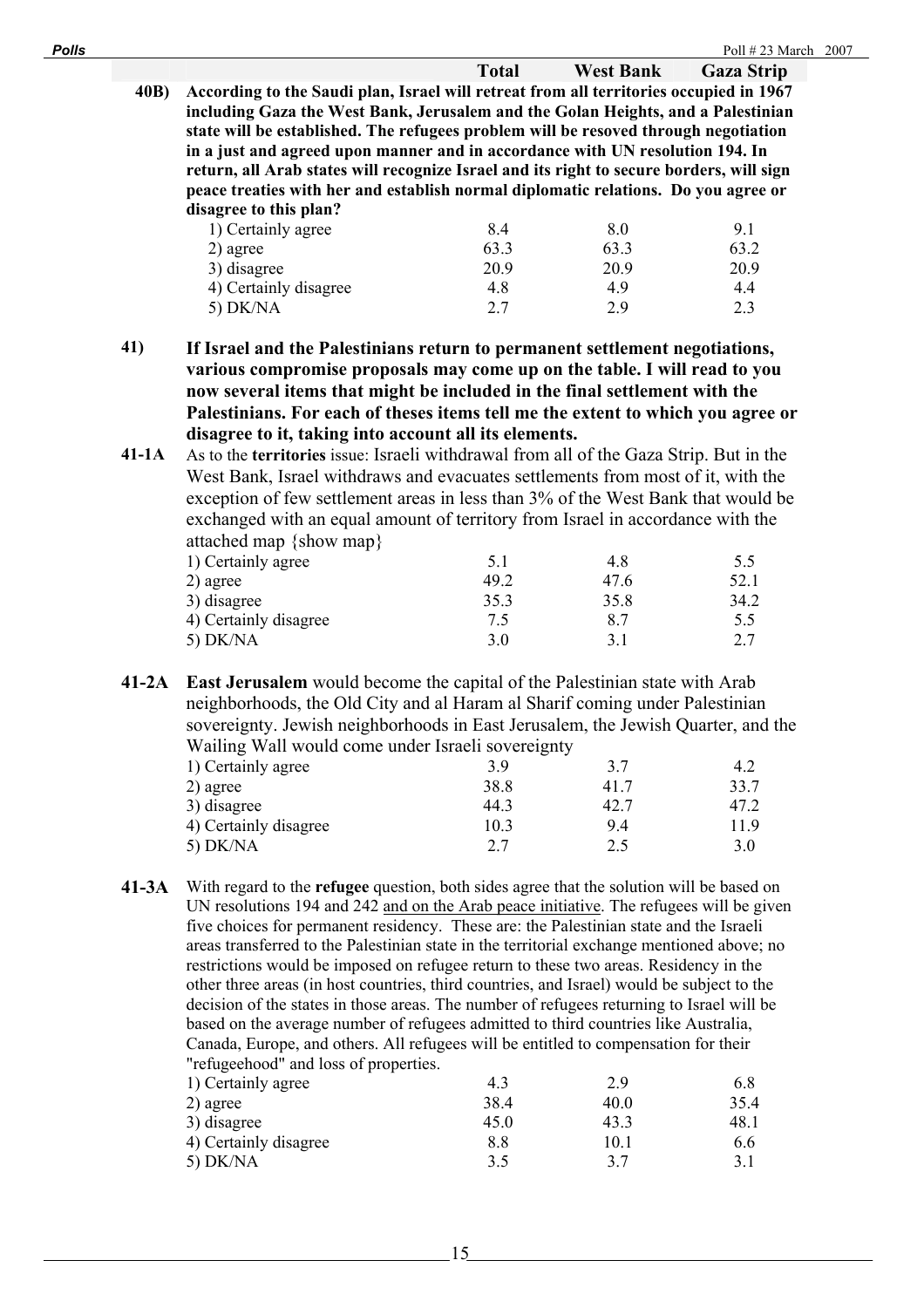| <b>Polls</b> |                                                                                          |                                                                                        |                  | Poll $\#$ 23 March 2007 |  |  |  |  |
|--------------|------------------------------------------------------------------------------------------|----------------------------------------------------------------------------------------|------------------|-------------------------|--|--|--|--|
|              |                                                                                          | <b>Total</b>                                                                           | <b>West Bank</b> | <b>Gaza Strip</b>       |  |  |  |  |
| 40B)         |                                                                                          | According to the Saudi plan, Israel will retreat from all territories occupied in 1967 |                  |                         |  |  |  |  |
|              | including Gaza the West Bank, Jerusalem and the Golan Heights, and a Palestinian         |                                                                                        |                  |                         |  |  |  |  |
|              | state will be established. The refugees problem will be resoved through negotiation      |                                                                                        |                  |                         |  |  |  |  |
|              | in a just and agreed upon manner and in accordance with UN resolution 194. In            |                                                                                        |                  |                         |  |  |  |  |
|              | return, all Arab states will recognize Israel and its right to secure borders, will sign |                                                                                        |                  |                         |  |  |  |  |
|              | peace treaties with her and establish normal diplomatic relations. Do you agree or       |                                                                                        |                  |                         |  |  |  |  |
|              | disagree to this plan?                                                                   |                                                                                        |                  |                         |  |  |  |  |
|              | 1) Certainly agree                                                                       | 8.4                                                                                    | 8.0              | 9.1                     |  |  |  |  |
|              | 2) agree                                                                                 | 63.3                                                                                   | 63.3             | 63.2                    |  |  |  |  |
|              | 3) disagree                                                                              | 20.9                                                                                   | 20.9             | 20.9                    |  |  |  |  |
|              | 4) Certainly disagree                                                                    | 4.8                                                                                    | 4.9              | 4.4                     |  |  |  |  |
|              | $5)$ DK/NA                                                                               | 2.7                                                                                    | 2.9              | 2.3                     |  |  |  |  |

**41) If Israel and the Palestinians return to permanent settlement negotiations, various compromise proposals may come up on the table. I will read to you now several items that might be included in the final settlement with the Palestinians. For each of theses items tell me the extent to which you agree or disagree to it, taking into account all its elements.** 

**41-1A** As to the **territories** issue: Israeli withdrawal from all of the Gaza Strip. But in the West Bank, Israel withdraws and evacuates settlements from most of it, with the exception of few settlement areas in less than 3% of the West Bank that would be exchanged with an equal amount of territory from Israel in accordance with the attached map {show map}

| 1) Certainly agree    | 5.1  | 4.8  | 5.5  |
|-----------------------|------|------|------|
| 2) agree              | 49.2 | 47.6 | 52.1 |
| 3) disagree           | 35.3 | 35.8 | 34.2 |
| 4) Certainly disagree | 7.5  | 8.7  | 5.5  |
| $5)$ DK/NA            | 3.0  |      | 2.7  |
|                       |      |      |      |

**41-2A East Jerusalem** would become the capital of the Palestinian state with Arab neighborhoods, the Old City and al Haram al Sharif coming under Palestinian sovereignty. Jewish neighborhoods in East Jerusalem, the Jewish Quarter, and the Wailing Wall would come under Israeli sovereignty

| $\ldots$              |      |      |      |
|-----------------------|------|------|------|
| 1) Certainly agree    | 3.9  | 3.7  | 4.2  |
| 2) agree              | 38.8 | 41.7 | 33.7 |
| 3) disagree           | 44.3 | 42.7 | 47.2 |
| 4) Certainly disagree | 10.3 | 9.4  | 11.9 |
| $5)$ DK/NA            | 2.7  | 2.5  | 3.0  |
|                       |      |      |      |

**41-3A** With regard to the **refugee** question, both sides agree that the solution will be based on UN resolutions 194 and 242 and on the Arab peace initiative. The refugees will be given five choices for permanent residency. These are: the Palestinian state and the Israeli areas transferred to the Palestinian state in the territorial exchange mentioned above; no restrictions would be imposed on refugee return to these two areas. Residency in the other three areas (in host countries, third countries, and Israel) would be subject to the decision of the states in those areas. The number of refugees returning to Israel will be based on the average number of refugees admitted to third countries like Australia, Canada, Europe, and others. All refugees will be entitled to compensation for their "refugeehood" and loss of properties. 1) Certainly agree  $\begin{array}{cccc} 1 & 1 & 2 & 9 \\ 4 & 3 & 2.9 & 6.8 \end{array}$ 

| $1$ ) Cortainly agree | 4.5     | $\mathcal{L} \cdot \mathcal{I}$ | 0.0  |
|-----------------------|---------|---------------------------------|------|
| 2) agree              | 38.4    | 40.0                            | 35.4 |
| 3) disagree           | 45.0    | 43.3                            | 48.1 |
| 4) Certainly disagree | $8.8\,$ | 10.1                            | 6.6  |
| $5)$ DK/NA            |         | 37                              | 3.1  |
|                       |         |                                 |      |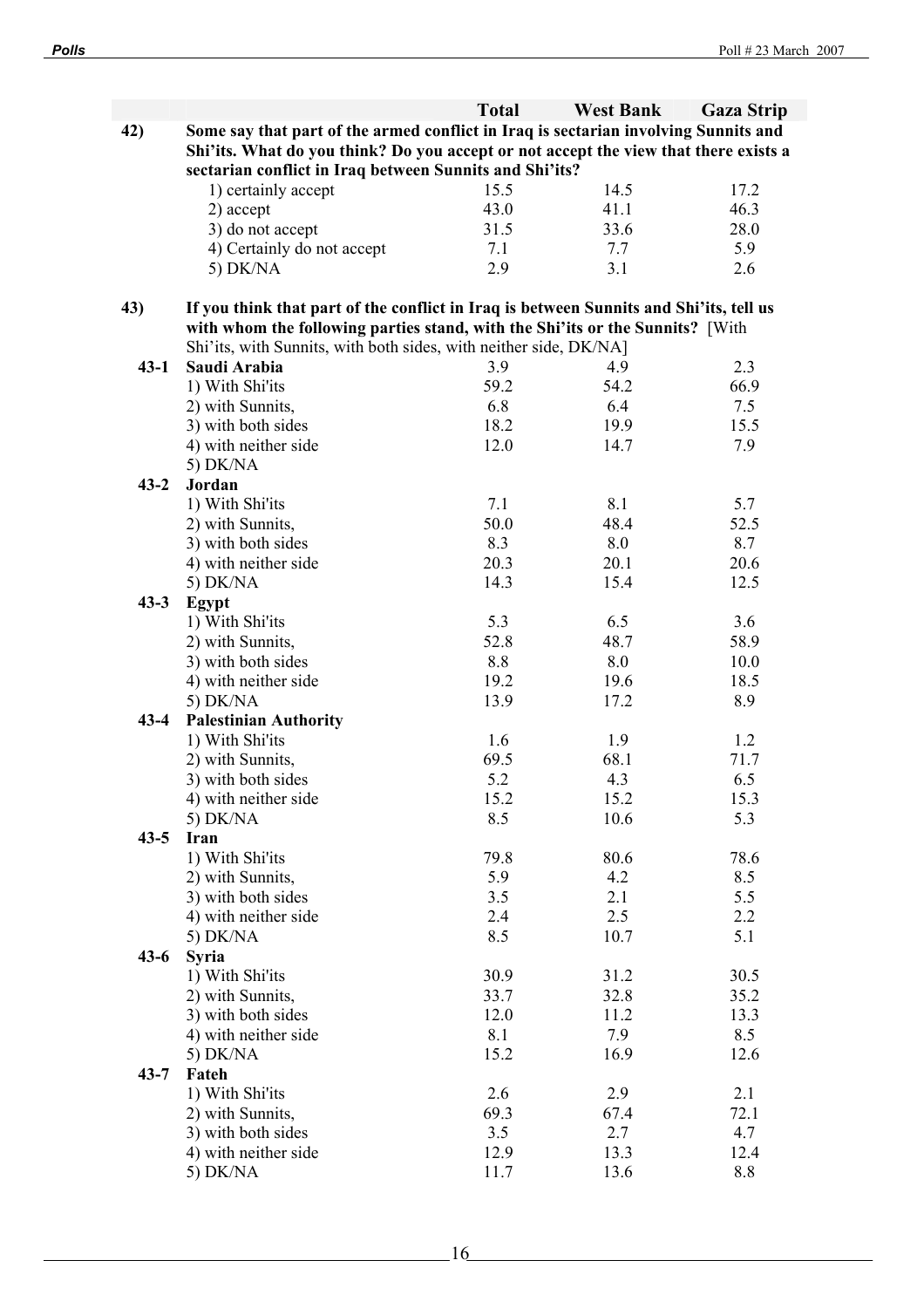|          |                                                                                        | <b>Total</b> | <b>West Bank</b> | <b>Gaza Strip</b> |
|----------|----------------------------------------------------------------------------------------|--------------|------------------|-------------------|
| 42)      | Some say that part of the armed conflict in Iraq is sectarian involving Sunnits and    |              |                  |                   |
|          | Shi'its. What do you think? Do you accept or not accept the view that there exists a   |              |                  |                   |
|          | sectarian conflict in Iraq between Sunnits and Shi'its?                                |              |                  |                   |
|          | 1) certainly accept                                                                    | 15.5         | 14.5             | 17.2              |
|          | 2) accept                                                                              | 43.0         | 41.1             | 46.3              |
|          | 3) do not accept                                                                       | 31.5         | 33.6             | 28.0              |
|          | 4) Certainly do not accept                                                             | 7.1          | 7.7              | 5.9               |
|          | 5) $DK/NA$                                                                             | 2.9          | 3.1              | 2.6               |
|          |                                                                                        |              |                  |                   |
| 43)      | If you think that part of the conflict in Iraq is between Sunnits and Shi'its, tell us |              |                  |                   |
|          | with whom the following parties stand, with the Shi'its or the Sunnits? [With          |              |                  |                   |
|          | Shi'its, with Sunnits, with both sides, with neither side, DK/NA]                      |              |                  |                   |
| $43 - 1$ | Saudi Arabia                                                                           | 3.9          | 4.9              | 2.3               |
|          | 1) With Shi'its                                                                        | 59.2         | 54.2             | 66.9              |
|          | 2) with Sunnits,                                                                       | 6.8          | 6.4              | 7.5               |
|          | 3) with both sides                                                                     | 18.2         | 19.9             | 15.5              |
|          | 4) with neither side                                                                   | 12.0         | 14.7             | 7.9               |
|          | 5) $DK/NA$                                                                             |              |                  |                   |
| $43 - 2$ | Jordan                                                                                 |              |                  |                   |
|          | 1) With Shi'its                                                                        | 7.1          | 8.1              | 5.7               |
|          | 2) with Sunnits,                                                                       | 50.0         | 48.4             | 52.5              |
|          | 3) with both sides                                                                     | 8.3          | 8.0              | 8.7               |
|          | 4) with neither side                                                                   | 20.3         | 20.1             | 20.6              |
|          | 5) DK/NA                                                                               | 14.3         | 15.4             | 12.5              |
| $43 - 3$ | Egypt                                                                                  |              |                  |                   |
|          | 1) With Shi'its                                                                        | 5.3          | 6.5              | 3.6               |
|          | 2) with Sunnits,                                                                       | 52.8         | 48.7             | 58.9              |
|          | 3) with both sides                                                                     | 8.8          | 8.0              | 10.0              |
|          | 4) with neither side                                                                   | 19.2         | 19.6             | 18.5              |
|          | 5) DK/NA                                                                               | 13.9         | 17.2             | 8.9               |
|          | <b>Palestinian Authority</b>                                                           |              |                  |                   |
| $43 - 4$ |                                                                                        |              |                  |                   |
|          | 1) With Shi'its                                                                        | 1.6<br>69.5  | 1.9<br>68.1      | 1.2<br>71.7       |
|          | 2) with Sunnits,                                                                       |              | 4.3              |                   |
|          | 3) with both sides                                                                     | 5.2          |                  | 6.5               |
|          | 4) with neither side                                                                   | 15.2         | 15.2             | 15.3              |
|          | 5) DK/NA                                                                               | 8.5          | 10.6             | 5.3               |
| $43 - 5$ | Iran                                                                                   |              |                  |                   |
|          | 1) With Shi'its                                                                        | 79.8         | 80.6             | 78.6              |
|          | 2) with Sunnits,                                                                       | 5.9          | 4.2              | 8.5               |
|          | 3) with both sides                                                                     | 3.5          | 2.1              | 5.5               |
|          | 4) with neither side                                                                   | 2.4          | 2.5              | 2.2               |
|          | 5) DK/NA                                                                               | 8.5          | 10.7             | 5.1               |
| $43-6$   | <b>Syria</b>                                                                           |              |                  |                   |
|          | 1) With Shi'its                                                                        | 30.9         | 31.2             | 30.5              |
|          | 2) with Sunnits,                                                                       | 33.7         | 32.8             | 35.2              |
|          | 3) with both sides                                                                     | 12.0         | 11.2             | 13.3              |
|          | 4) with neither side                                                                   | 8.1          | 7.9              | 8.5               |
|          | 5) DK/NA                                                                               | 15.2         | 16.9             | 12.6              |
| $43 - 7$ | Fateh                                                                                  |              |                  |                   |
|          | 1) With Shi'its                                                                        | 2.6          | 2.9              | 2.1               |
|          | 2) with Sunnits,                                                                       | 69.3         | 67.4             | 72.1              |
|          | 3) with both sides                                                                     | 3.5          | 2.7              | 4.7               |
|          | 4) with neither side                                                                   | 12.9         | 13.3             | 12.4              |
|          | 5) DK/NA                                                                               | 11.7         | 13.6             | 8.8               |